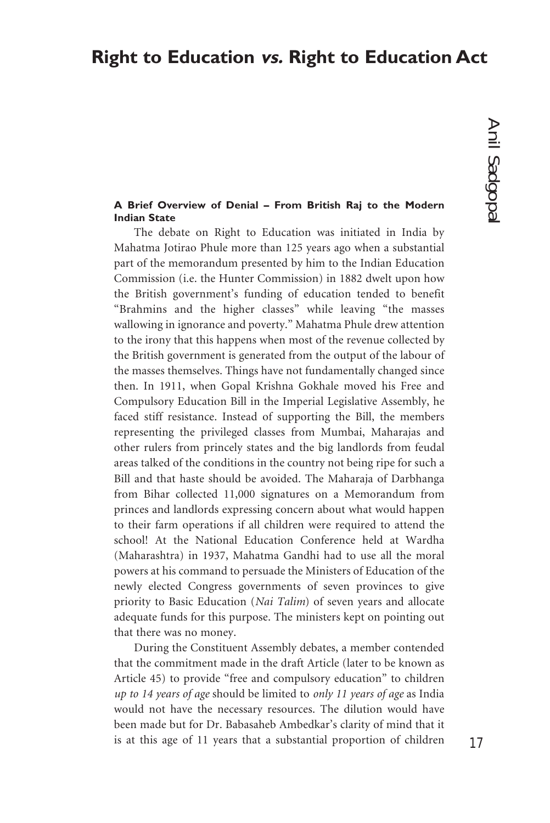# **Right to Education vs. Right to Education Act**

# Anil Sadgopal Anil Sadgopal

# **A Brief Overview of Denial – From British Raj to the Modern Indian State**

The debate on Right to Education was initiated in India by Mahatma Jotirao Phule more than 125 years ago when a substantial part of the memorandum presented by him to the Indian Education Commission (i.e. the Hunter Commission) in 1882 dwelt upon how the British government's funding of education tended to benefit "Brahmins and the higher classes" while leaving "the masses wallowing in ignorance and poverty." Mahatma Phule drew attention to the irony that this happens when most of the revenue collected by the British government is generated from the output of the labour of the masses themselves. Things have not fundamentally changed since then. In 1911, when Gopal Krishna Gokhale moved his Free and Compulsory Education Bill in the Imperial Legislative Assembly, he faced stiff resistance. Instead of supporting the Bill, the members representing the privileged classes from Mumbai, Maharajas and other rulers from princely states and the big landlords from feudal areas talked of the conditions in the country not being ripe for such a Bill and that haste should be avoided. The Maharaja of Darbhanga from Bihar collected 11,000 signatures on a Memorandum from princes and landlords expressing concern about what would happen to their farm operations if all children were required to attend the school! At the National Education Conference held at Wardha (Maharashtra) in 1937, Mahatma Gandhi had to use all the moral powers at his command to persuade the Ministers of Education of the newly elected Congress governments of seven provinces to give priority to Basic Education (*Nai Talim*) of seven years and allocate adequate funds for this purpose. The ministers kept on pointing out that there was no money.

During the Constituent Assembly debates, a member contended that the commitment made in the draft Article (later to be known as Article 45) to provide "free and compulsory education" to children *up to 14 years of age* should be limited to *only 11 years of age* as India would not have the necessary resources. The dilution would have been made but for Dr. Babasaheb Ambedkar's clarity of mind that it is at this age of 11 years that a substantial proportion of children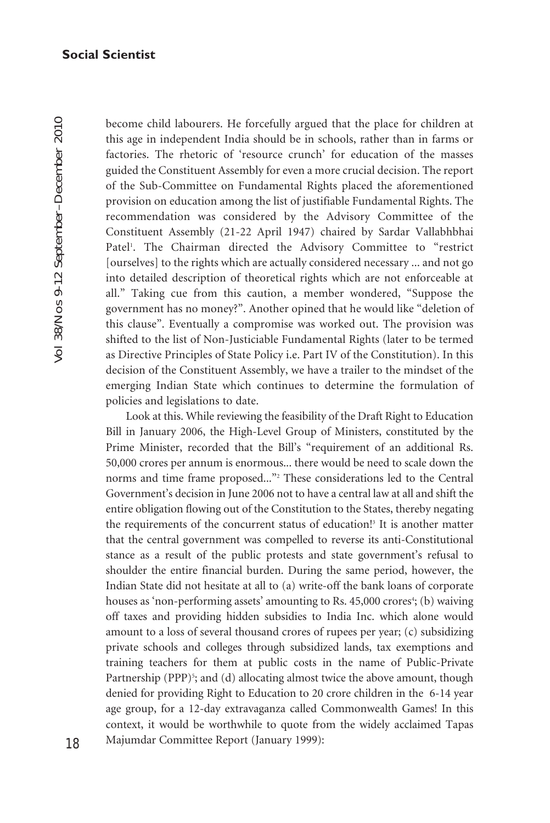Vol 38/Nos 9-12 September–December 2010 Vol 38/Nos 9-12 September-December 2010

become child labourers. He forcefully argued that the place for children at this age in independent India should be in schools, rather than in farms or factories. The rhetoric of 'resource crunch' for education of the masses guided the Constituent Assembly for even a more crucial decision. The report of the Sub-Committee on Fundamental Rights placed the aforementioned provision on education among the list of justifiable Fundamental Rights. The recommendation was considered by the Advisory Committee of the Constituent Assembly (21-22 April 1947) chaired by Sardar Vallabhbhai Patel<sup>1</sup>. The Chairman directed the Advisory Committee to "restrict [ourselves] to the rights which are actually considered necessary ... and not go into detailed description of theoretical rights which are not enforceable at all." Taking cue from this caution, a member wondered, "Suppose the government has no money?". Another opined that he would like "deletion of this clause". Eventually a compromise was worked out. The provision was shifted to the list of Non-Justiciable Fundamental Rights (later to be termed as Directive Principles of State Policy i.e. Part IV of the Constitution). In this decision of the Constituent Assembly, we have a trailer to the mindset of the emerging Indian State which continues to determine the formulation of policies and legislations to date.

Look at this. While reviewing the feasibility of the Draft Right to Education Bill in January 2006, the High-Level Group of Ministers, constituted by the Prime Minister, recorded that the Bill's "requirement of an additional Rs. 50,000 crores per annum is enormous... there would be need to scale down the norms and time frame proposed..."2 These considerations led to the Central Government's decision in June 2006 not to have a central law at all and shift the entire obligation flowing out of the Constitution to the States, thereby negating the requirements of the concurrent status of education!<sup>3</sup> It is another matter that the central government was compelled to reverse its anti-Constitutional stance as a result of the public protests and state government's refusal to shoulder the entire financial burden. During the same period, however, the Indian State did not hesitate at all to (a) write-off the bank loans of corporate houses as 'non-performing assets' amounting to Rs. 45,000 crores<sup>4</sup>; (b) waiving off taxes and providing hidden subsidies to India Inc. which alone would amount to a loss of several thousand crores of rupees per year; (c) subsidizing private schools and colleges through subsidized lands, tax exemptions and training teachers for them at public costs in the name of Public-Private Partnership (PPP)<sup>5</sup>; and (d) allocating almost twice the above amount, though denied for providing Right to Education to 20 crore children in the 6-14 year age group, for a 12-day extravaganza called Commonwealth Games! In this context, it would be worthwhile to quote from the widely acclaimed Tapas Majumdar Committee Report (January 1999):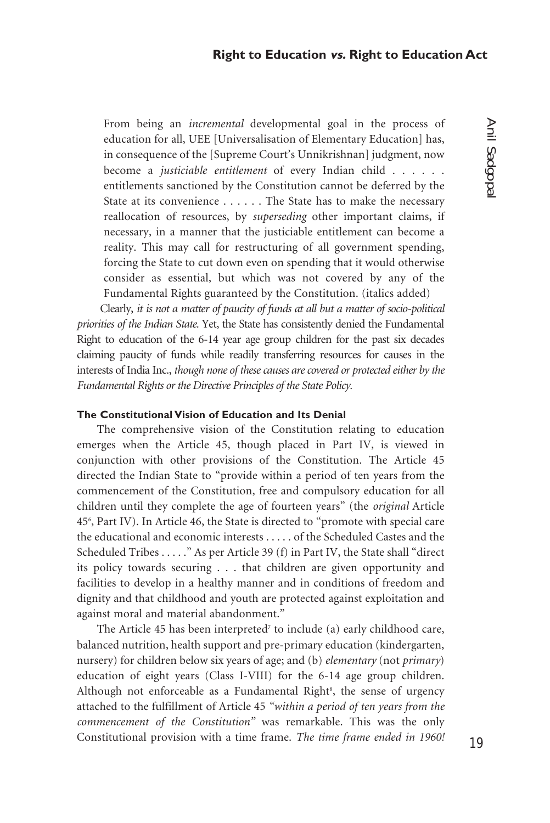From being an *incremental* developmental goal in the process of education for all, UEE [Universalisation of Elementary Education] has, in consequence of the [Supreme Court's Unnikrishnan] judgment, now become a *justiciable entitlement* of every Indian child . . . . . . entitlements sanctioned by the Constitution cannot be deferred by the State at its convenience . . . . . . The State has to make the necessary reallocation of resources, by *superseding* other important claims, if necessary, in a manner that the justiciable entitlement can become a reality. This may call for restructuring of all government spending, forcing the State to cut down even on spending that it would otherwise consider as essential, but which was not covered by any of the Fundamental Rights guaranteed by the Constitution. (italics added)

 Clearly, *it is not a matter of paucity of funds at all but a matter of socio-political priorities of the Indian State.* Yet, the State has consistently denied the Fundamental Right to education of the 6-14 year age group children for the past six decades claiming paucity of funds while readily transferring resources for causes in the interests of India Inc., *though none of these causes are covered or protected either by the Fundamental Rights or the Directive Principles of the State Policy.*

# **The Constitutional Vision of Education and Its Denial**

The comprehensive vision of the Constitution relating to education emerges when the Article 45, though placed in Part IV, is viewed in conjunction with other provisions of the Constitution. The Article 45 directed the Indian State to "provide within a period of ten years from the commencement of the Constitution, free and compulsory education for all children until they complete the age of fourteen years" (the *original* Article 456 , Part IV). In Article 46, the State is directed to "promote with special care the educational and economic interests . . . . . of the Scheduled Castes and the Scheduled Tribes . . . . ." As per Article 39 (f) in Part IV, the State shall "direct its policy towards securing . . . that children are given opportunity and facilities to develop in a healthy manner and in conditions of freedom and dignity and that childhood and youth are protected against exploitation and against moral and material abandonment."

The Article 45 has been interpreted<sup>7</sup> to include (a) early childhood care, balanced nutrition, health support and pre-primary education (kindergarten, nursery) for children below six years of age; and (b) *elementary* (not *primary*) education of eight years (Class I-VIII) for the 6-14 age group children. Although not enforceable as a Fundamental Right<sup>8</sup>, the sense of urgency attached to the fulfillment of Article 45 *"within a period of ten years from the commencement of the Constitution"* was remarkable. This was the only Constitutional provision with a time frame. *The time frame ended in 1960!*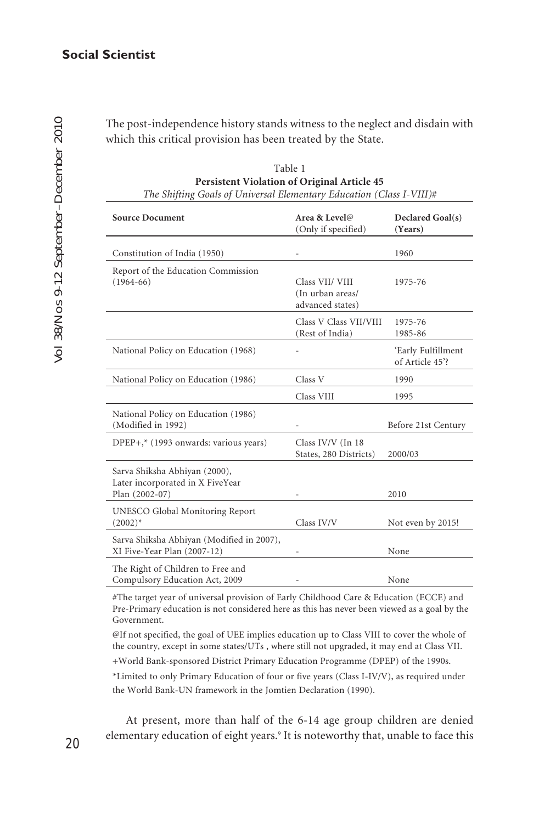The post-independence history stands witness to the neglect and disdain with which this critical provision has been treated by the State.

| <b>Source Document</b>                                                              | Area & Level@<br>(Only if specified)                    | Declared Goal(s)<br>(Years)           |
|-------------------------------------------------------------------------------------|---------------------------------------------------------|---------------------------------------|
| Constitution of India (1950)                                                        |                                                         | 1960                                  |
| Report of the Education Commission<br>$(1964-66)$                                   | Class VII/ VIII<br>(In urban areas/<br>advanced states) | 1975-76                               |
|                                                                                     | Class V Class VII/VIII<br>(Rest of India)               | 1975-76<br>1985-86                    |
| National Policy on Education (1968)                                                 |                                                         | 'Early Fulfillment<br>of Article 45'? |
| National Policy on Education (1986)                                                 | Class V                                                 | 1990                                  |
|                                                                                     | Class VIII                                              | 1995                                  |
| National Policy on Education (1986)<br>(Modified in 1992)                           |                                                         | Before 21st Century                   |
| DPEP+,* (1993 onwards: various years)                                               | Class IV/V (In 18<br>States, 280 Districts)             | 2000/03                               |
| Sarva Shiksha Abhiyan (2000),<br>Later incorporated in X FiveYear<br>Plan (2002-07) |                                                         | 2010                                  |
| UNESCO Global Monitoring Report<br>$(2002)^*$                                       | Class IV/V                                              | Not even by 2015!                     |
| Sarva Shiksha Abhiyan (Modified in 2007),<br>XI Five-Year Plan (2007-12)            |                                                         | None                                  |
| The Right of Children to Free and<br>Compulsory Education Act, 2009                 |                                                         | None                                  |

| Table 1                                                              |
|----------------------------------------------------------------------|
| <b>Persistent Violation of Original Article 45</b>                   |
| The Shifting Goals of Universal Elementary Education (Class I-VIII)# |

#The target year of universal provision of Early Childhood Care & Education (ECCE) and Pre-Primary education is not considered here as this has never been viewed as a goal by the Government.

@If not specified, the goal of UEE implies education up to Class VIII to cover the whole of the country, except in some states/UTs , where still not upgraded, it may end at Class VII. +World Bank-sponsored District Primary Education Programme (DPEP) of the 1990s.

\*Limited to only Primary Education of four or five years (Class I-IV/V), as required under the World Bank-UN framework in the Jomtien Declaration (1990).

At present, more than half of the 6-14 age group children are denied elementary education of eight years.9 It is noteworthy that, unable to face this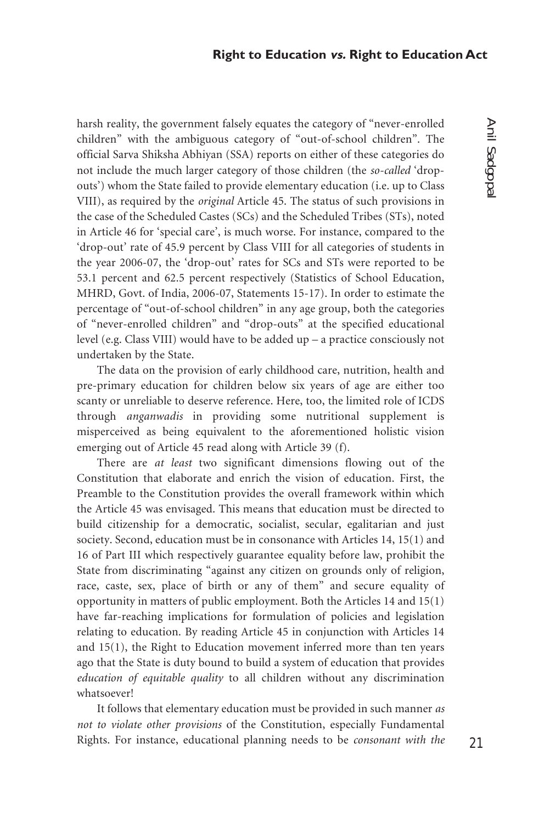harsh reality, the government falsely equates the category of "never-enrolled children" with the ambiguous category of "out-of-school children". The official Sarva Shiksha Abhiyan (SSA) reports on either of these categories do not include the much larger category of those children (the *so-called* 'dropouts') whom the State failed to provide elementary education (i.e. up to Class VIII), as required by the *original* Article 45. The status of such provisions in the case of the Scheduled Castes (SCs) and the Scheduled Tribes (STs), noted in Article 46 for 'special care', is much worse. For instance, compared to the 'drop-out' rate of 45.9 percent by Class VIII for all categories of students in the year 2006-07, the 'drop-out' rates for SCs and STs were reported to be 53.1 percent and 62.5 percent respectively (Statistics of School Education, MHRD, Govt. of India, 2006-07, Statements 15-17). In order to estimate the percentage of "out-of-school children" in any age group, both the categories of "never-enrolled children" and "drop-outs" at the specified educational level (e.g. Class VIII) would have to be added up – a practice consciously not undertaken by the State.

The data on the provision of early childhood care, nutrition, health and pre-primary education for children below six years of age are either too scanty or unreliable to deserve reference. Here, too, the limited role of ICDS through *anganwadis* in providing some nutritional supplement is misperceived as being equivalent to the aforementioned holistic vision emerging out of Article 45 read along with Article 39 (f).

There are *at least* two significant dimensions flowing out of the Constitution that elaborate and enrich the vision of education. First, the Preamble to the Constitution provides the overall framework within which the Article 45 was envisaged. This means that education must be directed to build citizenship for a democratic, socialist, secular, egalitarian and just society. Second, education must be in consonance with Articles 14, 15(1) and 16 of Part III which respectively guarantee equality before law, prohibit the State from discriminating "against any citizen on grounds only of religion, race, caste, sex, place of birth or any of them" and secure equality of opportunity in matters of public employment. Both the Articles 14 and 15(1) have far-reaching implications for formulation of policies and legislation relating to education. By reading Article 45 in conjunction with Articles 14 and 15(1), the Right to Education movement inferred more than ten years ago that the State is duty bound to build a system of education that provides *education of equitable quality* to all children without any discrimination whatsoever!

It follows that elementary education must be provided in such manner *as not to violate other provisions* of the Constitution, especially Fundamental Rights. For instance, educational planning needs to be *consonant with the*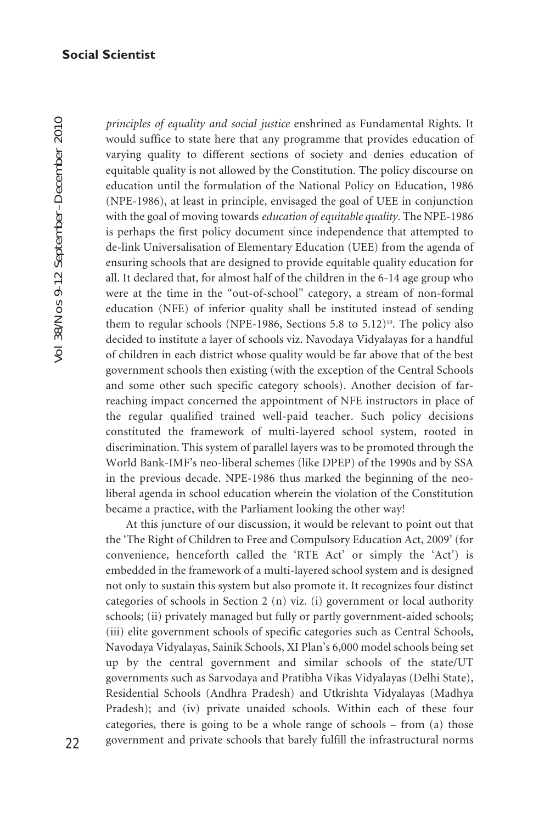Vol 38/Nos 9-12 September–December 2010 Vol 38/Nos 9-12 September-December 2010

*principles of equality and social justice* enshrined as Fundamental Rights. It would suffice to state here that any programme that provides education of varying quality to different sections of society and denies education of equitable quality is not allowed by the Constitution. The policy discourse on education until the formulation of the National Policy on Education, 1986 (NPE-1986), at least in principle, envisaged the goal of UEE in conjunction with the goal of moving towards *education of equitable quality.* The NPE-1986 is perhaps the first policy document since independence that attempted to de-link Universalisation of Elementary Education (UEE) from the agenda of ensuring schools that are designed to provide equitable quality education for all. It declared that, for almost half of the children in the 6-14 age group who were at the time in the "out-of-school" category, a stream of non-formal education (NFE) of inferior quality shall be instituted instead of sending them to regular schools (NPE-1986, Sections 5.8 to 5.12)<sup>10</sup>. The policy also decided to institute a layer of schools viz. Navodaya Vidyalayas for a handful of children in each district whose quality would be far above that of the best government schools then existing (with the exception of the Central Schools and some other such specific category schools). Another decision of farreaching impact concerned the appointment of NFE instructors in place of the regular qualified trained well-paid teacher. Such policy decisions constituted the framework of multi-layered school system, rooted in discrimination. This system of parallel layers was to be promoted through the World Bank-IMF's neo-liberal schemes (like DPEP) of the 1990s and by SSA in the previous decade. NPE-1986 thus marked the beginning of the neoliberal agenda in school education wherein the violation of the Constitution became a practice, with the Parliament looking the other way!

At this juncture of our discussion, it would be relevant to point out that the 'The Right of Children to Free and Compulsory Education Act, 2009' (for convenience, henceforth called the 'RTE Act' or simply the 'Act') is embedded in the framework of a multi-layered school system and is designed not only to sustain this system but also promote it. It recognizes four distinct categories of schools in Section 2 (n) viz. (i) government or local authority schools; (ii) privately managed but fully or partly government-aided schools; (iii) elite government schools of specific categories such as Central Schools, Navodaya Vidyalayas, Sainik Schools, XI Plan's 6,000 model schools being set up by the central government and similar schools of the state/UT governments such as Sarvodaya and Pratibha Vikas Vidyalayas (Delhi State), Residential Schools (Andhra Pradesh) and Utkrishta Vidyalayas (Madhya Pradesh); and (iv) private unaided schools. Within each of these four categories, there is going to be a whole range of schools – from (a) those government and private schools that barely fulfill the infrastructural norms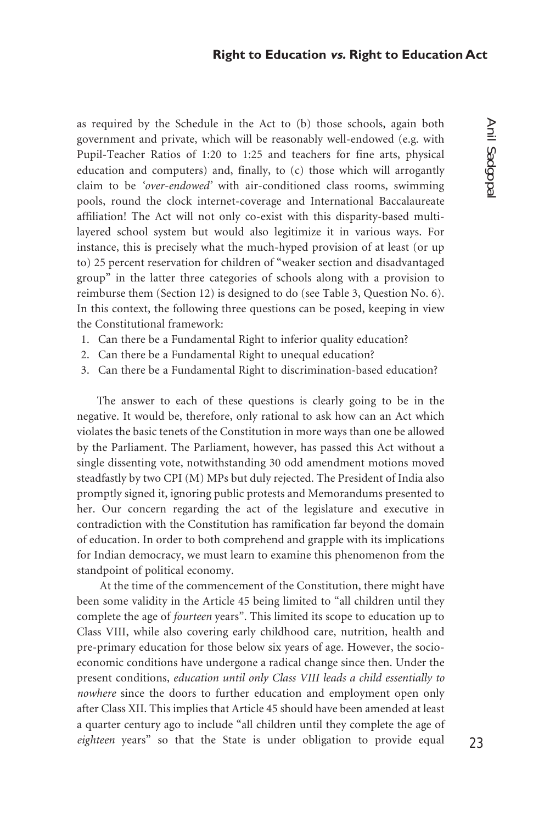as required by the Schedule in the Act to (b) those schools, again both government and private, which will be reasonably well-endowed (e.g. with Pupil-Teacher Ratios of 1:20 to 1:25 and teachers for fine arts, physical education and computers) and, finally, to (c) those which will arrogantly claim to be *'over-endowed'* with air-conditioned class rooms, swimming pools, round the clock internet-coverage and International Baccalaureate affiliation! The Act will not only co-exist with this disparity-based multilayered school system but would also legitimize it in various ways. For instance, this is precisely what the much-hyped provision of at least (or up to) 25 percent reservation for children of "weaker section and disadvantaged group" in the latter three categories of schools along with a provision to reimburse them (Section 12) is designed to do (see Table 3, Question No. 6). In this context, the following three questions can be posed, keeping in view the Constitutional framework:

- 1. Can there be a Fundamental Right to inferior quality education?
- 2. Can there be a Fundamental Right to unequal education?
- 3. Can there be a Fundamental Right to discrimination-based education?

The answer to each of these questions is clearly going to be in the negative. It would be, therefore, only rational to ask how can an Act which violates the basic tenets of the Constitution in more ways than one be allowed by the Parliament. The Parliament, however, has passed this Act without a single dissenting vote, notwithstanding 30 odd amendment motions moved steadfastly by two CPI (M) MPs but duly rejected. The President of India also promptly signed it, ignoring public protests and Memorandums presented to her. Our concern regarding the act of the legislature and executive in contradiction with the Constitution has ramification far beyond the domain of education. In order to both comprehend and grapple with its implications for Indian democracy, we must learn to examine this phenomenon from the standpoint of political economy.

 At the time of the commencement of the Constitution, there might have been some validity in the Article 45 being limited to "all children until they complete the age of *fourteen* years". This limited its scope to education up to Class VIII, while also covering early childhood care, nutrition, health and pre-primary education for those below six years of age. However, the socioeconomic conditions have undergone a radical change since then. Under the present conditions, *education until only Class VIII leads a child essentially to nowhere* since the doors to further education and employment open only after Class XII. This implies that Article 45 should have been amended at least a quarter century ago to include "all children until they complete the age of *eighteen* years" so that the State is under obligation to provide equal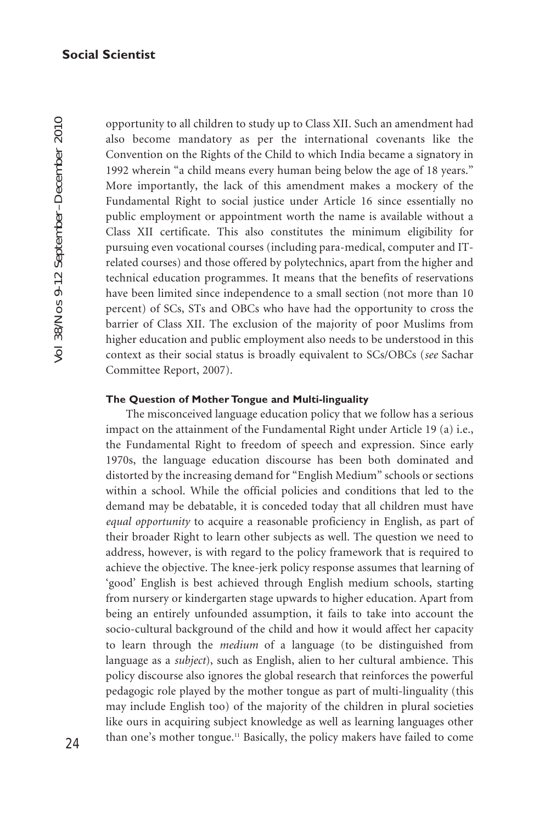opportunity to all children to study up to Class XII. Such an amendment had also become mandatory as per the international covenants like the Convention on the Rights of the Child to which India became a signatory in 1992 wherein "a child means every human being below the age of 18 years." More importantly, the lack of this amendment makes a mockery of the Fundamental Right to social justice under Article 16 since essentially no public employment or appointment worth the name is available without a Class XII certificate. This also constitutes the minimum eligibility for pursuing even vocational courses (including para-medical, computer and ITrelated courses) and those offered by polytechnics, apart from the higher and technical education programmes. It means that the benefits of reservations have been limited since independence to a small section (not more than 10 percent) of SCs, STs and OBCs who have had the opportunity to cross the barrier of Class XII. The exclusion of the majority of poor Muslims from higher education and public employment also needs to be understood in this context as their social status is broadly equivalent to SCs/OBCs (*see* Sachar Committee Report, 2007).

#### **The Question of Mother Tongue and Multi-linguality**

The misconceived language education policy that we follow has a serious impact on the attainment of the Fundamental Right under Article 19 (a) i.e., the Fundamental Right to freedom of speech and expression. Since early 1970s, the language education discourse has been both dominated and distorted by the increasing demand for "English Medium" schools or sections within a school. While the official policies and conditions that led to the demand may be debatable, it is conceded today that all children must have *equal opportunity* to acquire a reasonable proficiency in English, as part of their broader Right to learn other subjects as well. The question we need to address, however, is with regard to the policy framework that is required to achieve the objective. The knee-jerk policy response assumes that learning of 'good' English is best achieved through English medium schools, starting from nursery or kindergarten stage upwards to higher education. Apart from being an entirely unfounded assumption, it fails to take into account the socio-cultural background of the child and how it would affect her capacity to learn through the *medium* of a language (to be distinguished from language as a *subject*), such as English, alien to her cultural ambience. This policy discourse also ignores the global research that reinforces the powerful pedagogic role played by the mother tongue as part of multi-linguality (this may include English too) of the majority of the children in plural societies like ours in acquiring subject knowledge as well as learning languages other than one's mother tongue.11 Basically, the policy makers have failed to come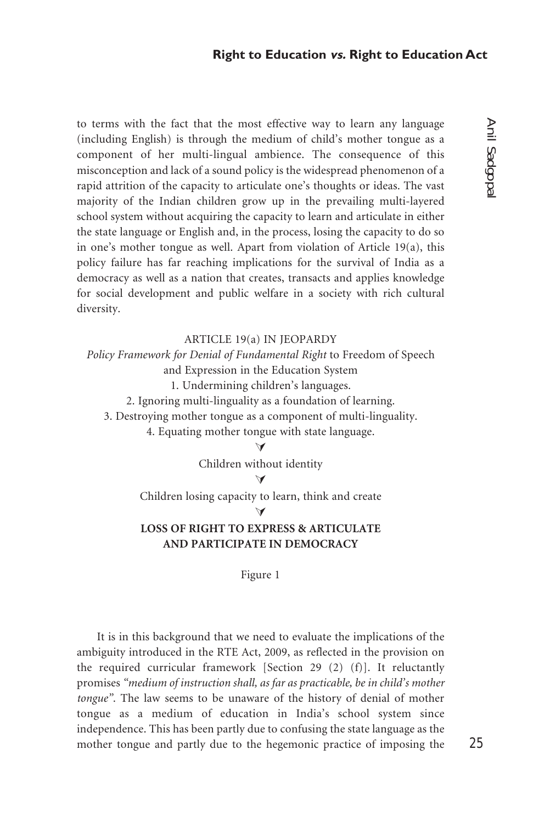to terms with the fact that the most effective way to learn any language (including English) is through the medium of child's mother tongue as a component of her multi-lingual ambience. The consequence of this misconception and lack of a sound policy is the widespread phenomenon of a rapid attrition of the capacity to articulate one's thoughts or ideas. The vast majority of the Indian children grow up in the prevailing multi-layered school system without acquiring the capacity to learn and articulate in either the state language or English and, in the process, losing the capacity to do so in one's mother tongue as well. Apart from violation of Article 19(a), this policy failure has far reaching implications for the survival of India as a democracy as well as a nation that creates, transacts and applies knowledge for social development and public welfare in a society with rich cultural diversity.

# ARTICLE 19(a) IN JEOPARDY

*Policy Framework for Denial of Fundamental Right* to Freedom of Speech and Expression in the Education System 1. Undermining children's languages.

2. Ignoring multi-linguality as a foundation of learning.

3. Destroying mother tongue as a component of multi-linguality.

4. Equating mother tongue with state language.

 $\Delta$ 

Children without identity

!

Children losing capacity to learn, think and create

 $\blacktriangledown$ 

# **LOSS OF RIGHT TO EXPRESS & ARTICULATE AND PARTICIPATE IN DEMOCRACY**

Figure 1

It is in this background that we need to evaluate the implications of the ambiguity introduced in the RTE Act, 2009, as reflected in the provision on the required curricular framework [Section 29 (2) (f)]. It reluctantly promises *"medium of instruction shall, as far as practicable, be in child's mother tongue"*. The law seems to be unaware of the history of denial of mother tongue as a medium of education in India's school system since independence. This has been partly due to confusing the state language as the mother tongue and partly due to the hegemonic practice of imposing the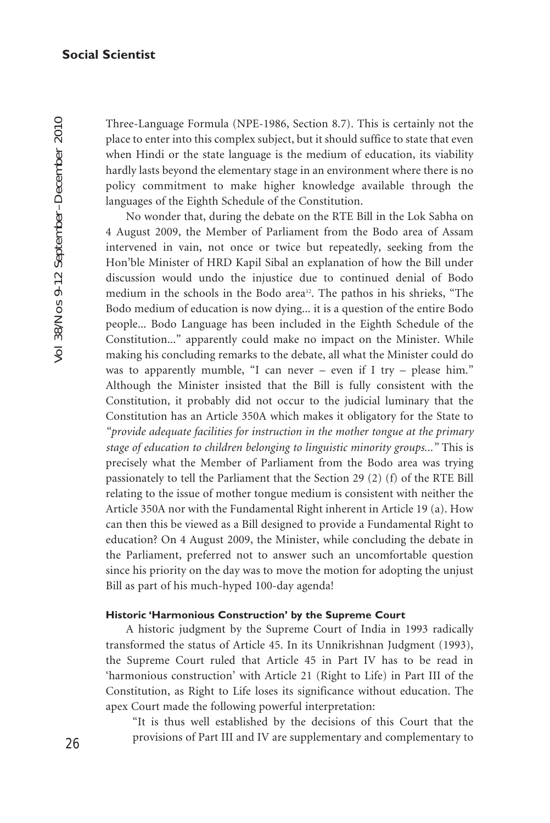Three-Language Formula (NPE-1986, Section 8.7). This is certainly not the place to enter into this complex subject, but it should suffice to state that even when Hindi or the state language is the medium of education, its viability hardly lasts beyond the elementary stage in an environment where there is no policy commitment to make higher knowledge available through the languages of the Eighth Schedule of the Constitution.

No wonder that, during the debate on the RTE Bill in the Lok Sabha on 4 August 2009, the Member of Parliament from the Bodo area of Assam intervened in vain, not once or twice but repeatedly, seeking from the Hon'ble Minister of HRD Kapil Sibal an explanation of how the Bill under discussion would undo the injustice due to continued denial of Bodo medium in the schools in the Bodo area<sup>12</sup>. The pathos in his shrieks, "The Bodo medium of education is now dying... it is a question of the entire Bodo people... Bodo Language has been included in the Eighth Schedule of the Constitution..." apparently could make no impact on the Minister. While making his concluding remarks to the debate, all what the Minister could do was to apparently mumble, "I can never – even if I try – please him." Although the Minister insisted that the Bill is fully consistent with the Constitution, it probably did not occur to the judicial luminary that the Constitution has an Article 350A which makes it obligatory for the State to *"provide adequate facilities for instruction in the mother tongue at the primary stage of education to children belonging to linguistic minority groups..."* This is precisely what the Member of Parliament from the Bodo area was trying passionately to tell the Parliament that the Section 29 (2) (f) of the RTE Bill relating to the issue of mother tongue medium is consistent with neither the Article 350A nor with the Fundamental Right inherent in Article 19 (a). How can then this be viewed as a Bill designed to provide a Fundamental Right to education? On 4 August 2009, the Minister, while concluding the debate in the Parliament, preferred not to answer such an uncomfortable question since his priority on the day was to move the motion for adopting the unjust Bill as part of his much-hyped 100-day agenda!

# **Historic 'Harmonious Construction' by the Supreme Court**

A historic judgment by the Supreme Court of India in 1993 radically transformed the status of Article 45. In its Unnikrishnan Judgment (1993), the Supreme Court ruled that Article 45 in Part IV has to be read in 'harmonious construction' with Article 21 (Right to Life) in Part III of the Constitution, as Right to Life loses its significance without education. The apex Court made the following powerful interpretation:

"It is thus well established by the decisions of this Court that the provisions of Part III and IV are supplementary and complementary to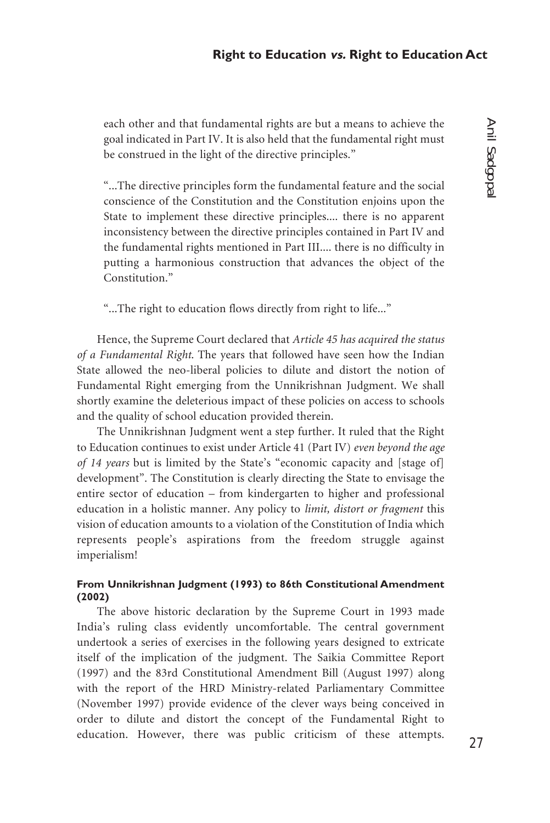each other and that fundamental rights are but a means to achieve the goal indicated in Part IV. It is also held that the fundamental right must be construed in the light of the directive principles."

"...The directive principles form the fundamental feature and the social conscience of the Constitution and the Constitution enjoins upon the State to implement these directive principles.... there is no apparent inconsistency between the directive principles contained in Part IV and the fundamental rights mentioned in Part III.... there is no difficulty in putting a harmonious construction that advances the object of the Constitution<sup>"</sup>

"...The right to education flows directly from right to life..."

Hence, the Supreme Court declared that *Article 45 has acquired the status of a Fundamental Right*. The years that followed have seen how the Indian State allowed the neo-liberal policies to dilute and distort the notion of Fundamental Right emerging from the Unnikrishnan Judgment. We shall shortly examine the deleterious impact of these policies on access to schools and the quality of school education provided therein.

The Unnikrishnan Judgment went a step further. It ruled that the Right to Education continues to exist under Article 41 (Part IV) *even beyond the age of 14 years* but is limited by the State's "economic capacity and [stage of] development". The Constitution is clearly directing the State to envisage the entire sector of education – from kindergarten to higher and professional education in a holistic manner. Any policy to *limit, distort or fragment* this vision of education amounts to a violation of the Constitution of India which represents people's aspirations from the freedom struggle against imperialism!

# **From Unnikrishnan Judgment (1993) to 86th Constitutional Amendment (2002)**

The above historic declaration by the Supreme Court in 1993 made India's ruling class evidently uncomfortable. The central government undertook a series of exercises in the following years designed to extricate itself of the implication of the judgment. The Saikia Committee Report (1997) and the 83rd Constitutional Amendment Bill (August 1997) along with the report of the HRD Ministry-related Parliamentary Committee (November 1997) provide evidence of the clever ways being conceived in order to dilute and distort the concept of the Fundamental Right to education. However, there was public criticism of these attempts.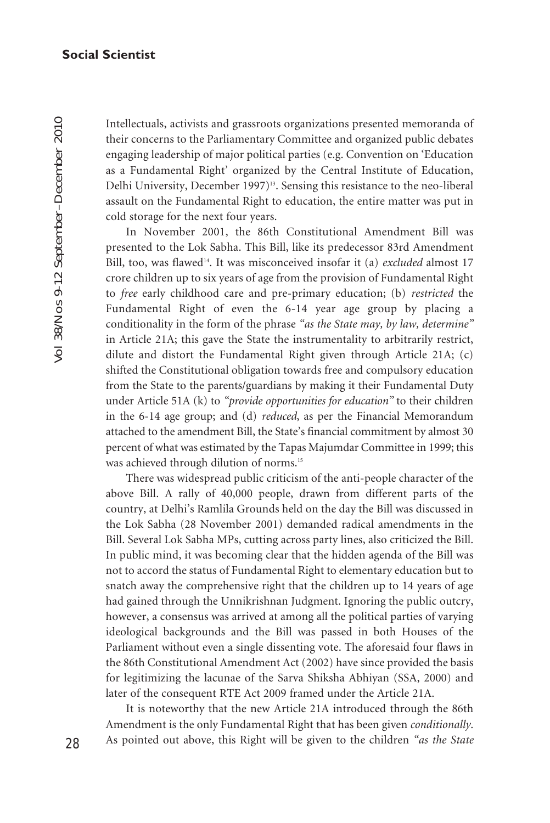Intellectuals, activists and grassroots organizations presented memoranda of their concerns to the Parliamentary Committee and organized public debates engaging leadership of major political parties (e.g. Convention on 'Education as a Fundamental Right' organized by the Central Institute of Education, Delhi University, December 1997)<sup>13</sup>. Sensing this resistance to the neo-liberal assault on the Fundamental Right to education, the entire matter was put in cold storage for the next four years.

In November 2001, the 86th Constitutional Amendment Bill was presented to the Lok Sabha. This Bill, like its predecessor 83rd Amendment Bill, too, was flawed<sup>14</sup>. It was misconceived insofar it (a) *excluded* almost 17 crore children up to six years of age from the provision of Fundamental Right to *free* early childhood care and pre-primary education; (b) *restricted* the Fundamental Right of even the 6-14 year age group by placing a conditionality in the form of the phrase *"as the State may, by law, determine"* in Article 21A; this gave the State the instrumentality to arbitrarily restrict, dilute and distort the Fundamental Right given through Article 21A; (c) shifted the Constitutional obligation towards free and compulsory education from the State to the parents/guardians by making it their Fundamental Duty under Article 51A (k) to *"provide opportunities for education"* to their children in the 6-14 age group; and (d) *reduced*, as per the Financial Memorandum attached to the amendment Bill, the State's financial commitment by almost 30 percent of what was estimated by the Tapas Majumdar Committee in 1999; this was achieved through dilution of norms.<sup>15</sup>

There was widespread public criticism of the anti-people character of the above Bill. A rally of 40,000 people, drawn from different parts of the country, at Delhi's Ramlila Grounds held on the day the Bill was discussed in the Lok Sabha (28 November 2001) demanded radical amendments in the Bill. Several Lok Sabha MPs, cutting across party lines, also criticized the Bill. In public mind, it was becoming clear that the hidden agenda of the Bill was not to accord the status of Fundamental Right to elementary education but to snatch away the comprehensive right that the children up to 14 years of age had gained through the Unnikrishnan Judgment. Ignoring the public outcry, however, a consensus was arrived at among all the political parties of varying ideological backgrounds and the Bill was passed in both Houses of the Parliament without even a single dissenting vote. The aforesaid four flaws in the 86th Constitutional Amendment Act (2002) have since provided the basis for legitimizing the lacunae of the Sarva Shiksha Abhiyan (SSA, 2000) and later of the consequent RTE Act 2009 framed under the Article 21A.

It is noteworthy that the new Article 21A introduced through the 86th Amendment is the only Fundamental Right that has been given *conditionally*. As pointed out above, this Right will be given to the children *"as the State*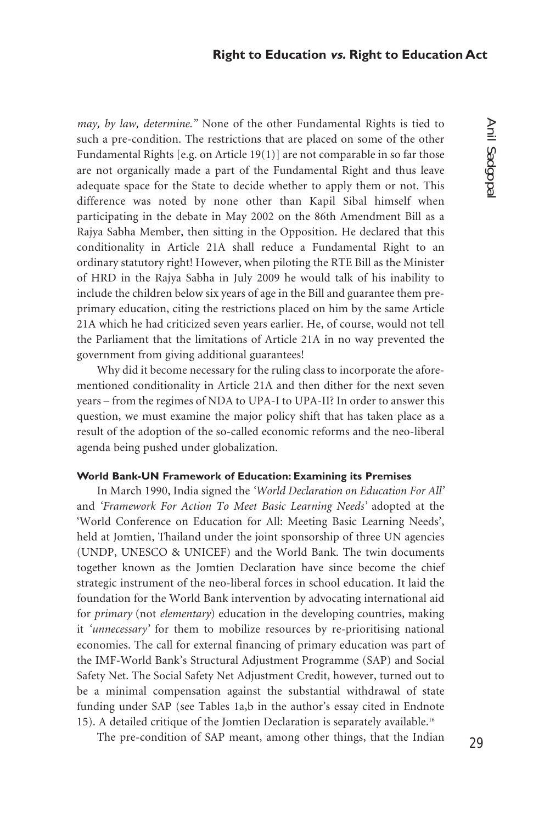*may, by law, determine."* None of the other Fundamental Rights is tied to such a pre-condition. The restrictions that are placed on some of the other Fundamental Rights [e.g. on Article 19(1)] are not comparable in so far those are not organically made a part of the Fundamental Right and thus leave adequate space for the State to decide whether to apply them or not. This difference was noted by none other than Kapil Sibal himself when participating in the debate in May 2002 on the 86th Amendment Bill as a Rajya Sabha Member, then sitting in the Opposition. He declared that this conditionality in Article 21A shall reduce a Fundamental Right to an ordinary statutory right! However, when piloting the RTE Bill as the Minister of HRD in the Rajya Sabha in July 2009 he would talk of his inability to include the children below six years of age in the Bill and guarantee them preprimary education, citing the restrictions placed on him by the same Article 21A which he had criticized seven years earlier. He, of course, would not tell the Parliament that the limitations of Article 21A in no way prevented the government from giving additional guarantees!

Why did it become necessary for the ruling class to incorporate the aforementioned conditionality in Article 21A and then dither for the next seven years – from the regimes of NDA to UPA-I to UPA-II? In order to answer this question, we must examine the major policy shift that has taken place as a result of the adoption of the so-called economic reforms and the neo-liberal agenda being pushed under globalization.

# **World Bank-UN Framework of Education: Examining its Premises**

In March 1990, India signed the *'World Declaration on Education For All'* and *'Framework For Action To Meet Basic Learning Needs'* adopted at the 'World Conference on Education for All: Meeting Basic Learning Needs', held at Jomtien, Thailand under the joint sponsorship of three UN agencies (UNDP, UNESCO & UNICEF) and the World Bank. The twin documents together known as the Jomtien Declaration have since become the chief strategic instrument of the neo-liberal forces in school education. It laid the foundation for the World Bank intervention by advocating international aid for *primary* (not *elementary*) education in the developing countries, making it *'unnecessary'* for them to mobilize resources by re-prioritising national economies. The call for external financing of primary education was part of the IMF-World Bank's Structural Adjustment Programme (SAP) and Social Safety Net. The Social Safety Net Adjustment Credit, however, turned out to be a minimal compensation against the substantial withdrawal of state funding under SAP (see Tables 1a,b in the author's essay cited in Endnote 15). A detailed critique of the Jomtien Declaration is separately available.16

The pre-condition of SAP meant, among other things, that the Indian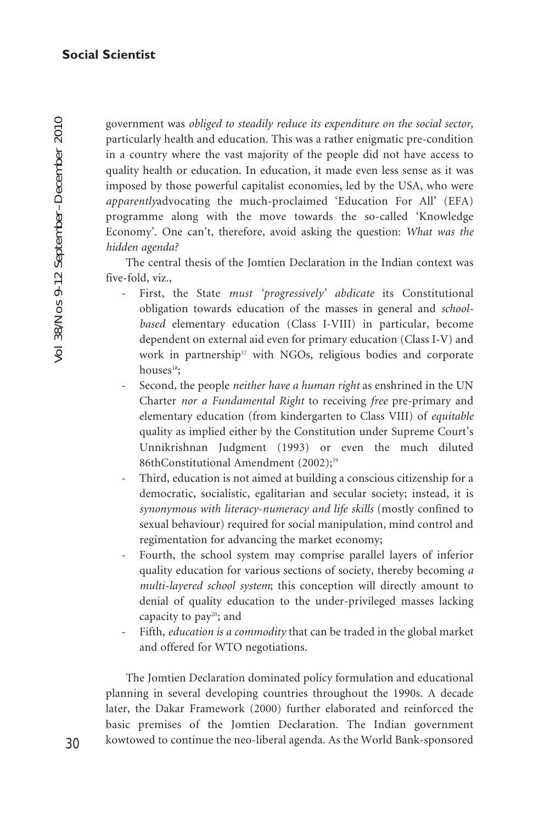government was *obliged to steadily reduce its expenditure on the social sector,* particularly health and education. This was a rather enigmatic pre-condition in a country where the vast majority of the people did not have access to quality health or education. In education, it made even less sense as it was imposed by those powerful capitalist economies, led by the USA, who were *apparently*advocating the much-proclaimed 'Education For All' (EFA) programme along with the move towards the so-called 'Knowledge Economy'. One can't, therefore, avoid asking the question: *What was the hidden agenda?*

The central thesis of the Jomtien Declaration in the Indian context was five-fold, viz.,

- First, the State *must 'progressively' abdicate* its Constitutional obligation towards education of the masses in general and *schoolbased* elementary education (Class I-VIII) in particular, become dependent on external aid even for primary education (Class I-V) and work in partnership<sup>17</sup> with NGOs, religious bodies and corporate houses<sup>18</sup>:
- Second, the people *neither have a human right* as enshrined in the UN Charter *nor a Fundamental Right* to receiving *free* pre-primary and elementary education (from kindergarten to Class VIII) of *equitable* quality as implied either by the Constitution under Supreme Court's Unnikrishnan Judgment (1993) or even the much diluted 86thConstitutional Amendment (2002);<sup>19</sup>
- Third, education is not aimed at building a conscious citizenship for a democratic, socialistic, egalitarian and secular society; instead, it is *synonymous with literacy-numeracy and life skills* (mostly confined to sexual behaviour) required for social manipulation, mind control and regimentation for advancing the market economy;
- Fourth, the school system may comprise parallel layers of inferior quality education for various sections of society, thereby becoming *a multi-layered school system*; this conception will directly amount to denial of quality education to the under-privileged masses lacking capacity to pay<sup>20</sup>; and
- Fifth, *education is a commodity* that can be traded in the global market and offered for WTO negotiations.

The Jomtien Declaration dominated policy formulation and educational planning in several developing countries throughout the 1990s. A decade later, the Dakar Framework (2000) further elaborated and reinforced the basic premises of the Jomtien Declaration. The Indian government kowtowed to continue the neo-liberal agenda. As the World Bank-sponsored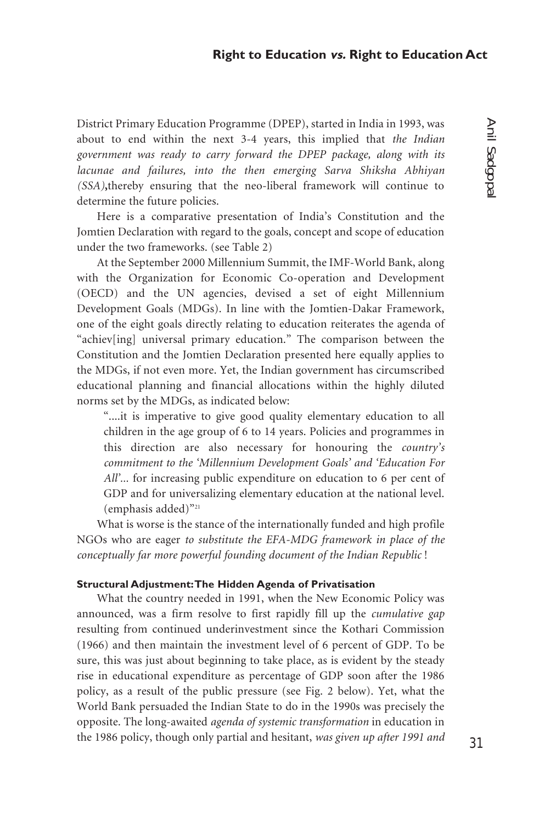District Primary Education Programme (DPEP), started in India in 1993, was about to end within the next 3-4 years, this implied that *the Indian government was ready to carry forward the DPEP package, along with its lacunae and failures, into the then emerging Sarva Shiksha Abhiyan (SSA)***,**thereby ensuring that the neo-liberal framework will continue to determine the future policies.

Here is a comparative presentation of India's Constitution and the Jomtien Declaration with regard to the goals, concept and scope of education under the two frameworks. (see Table 2)

At the September 2000 Millennium Summit, the IMF-World Bank, along with the Organization for Economic Co-operation and Development (OECD) and the UN agencies, devised a set of eight Millennium Development Goals (MDGs). In line with the Jomtien-Dakar Framework, one of the eight goals directly relating to education reiterates the agenda of "achiev[ing] universal primary education." The comparison between the Constitution and the Jomtien Declaration presented here equally applies to the MDGs, if not even more. Yet, the Indian government has circumscribed educational planning and financial allocations within the highly diluted norms set by the MDGs, as indicated below:

"....it is imperative to give good quality elementary education to all children in the age group of 6 to 14 years. Policies and programmes in this direction are also necessary for honouring the *country's commitment to the 'Millennium Development Goals' and 'Education For All'...* for increasing public expenditure on education to 6 per cent of GDP and for universalizing elementary education at the national level. (emphasis added)"21

What is worse is the stance of the internationally funded and high profile NGOs who are eager *to substitute the EFA-MDG framework in place of the conceptually far more powerful founding document of the Indian Republic* !

## **Structural Adjustment: The Hidden Agenda of Privatisation**

What the country needed in 1991, when the New Economic Policy was announced, was a firm resolve to first rapidly fill up the *cumulative gap* resulting from continued underinvestment since the Kothari Commission (1966) and then maintain the investment level of 6 percent of GDP. To be sure, this was just about beginning to take place, as is evident by the steady rise in educational expenditure as percentage of GDP soon after the 1986 policy, as a result of the public pressure (see Fig. 2 below). Yet, what the World Bank persuaded the Indian State to do in the 1990s was precisely the opposite. The long-awaited *agenda of systemic transformation* in education in the 1986 policy, though only partial and hesitant, *was given up after 1991 and*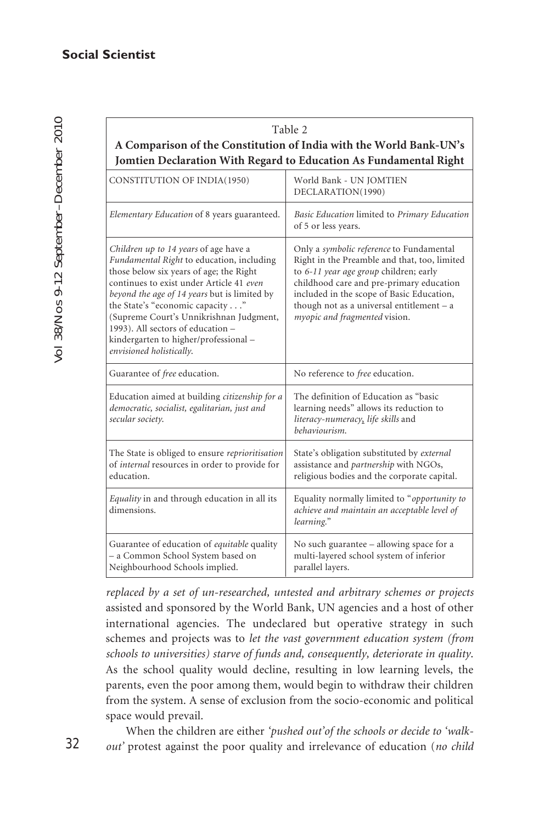Vol 38/Nos 9-12 September–December 2010 Vol 38/Nos 9-12 September-December 2010

| Table 2<br>A Comparison of the Constitution of India with the World Bank-UN's<br>Jomtien Declaration With Regard to Education As Fundamental Right                                                                                                                                                                                                                                                               |                                                                                                                                                                                                                                                                                                                    |  |
|------------------------------------------------------------------------------------------------------------------------------------------------------------------------------------------------------------------------------------------------------------------------------------------------------------------------------------------------------------------------------------------------------------------|--------------------------------------------------------------------------------------------------------------------------------------------------------------------------------------------------------------------------------------------------------------------------------------------------------------------|--|
| CONSTITUTION OF INDIA(1950)                                                                                                                                                                                                                                                                                                                                                                                      | World Bank - UN JOMTIEN<br>DECLARATION(1990)                                                                                                                                                                                                                                                                       |  |
| Elementary Education of 8 years guaranteed.                                                                                                                                                                                                                                                                                                                                                                      | Basic Education limited to Primary Education<br>of 5 or less years.                                                                                                                                                                                                                                                |  |
| Children up to 14 years of age have a<br>Fundamental Right to education, including<br>those below six years of age; the Right<br>continues to exist under Article 41 even<br>beyond the age of 14 years but is limited by<br>the State's "economic capacity"<br>(Supreme Court's Unnikrishnan Judgment,<br>1993). All sectors of education -<br>kindergarten to higher/professional-<br>envisioned holistically. | Only a <i>symbolic reference</i> to Fundamental<br>Right in the Preamble and that, too, limited<br>to 6-11 year age group children; early<br>childhood care and pre-primary education<br>included in the scope of Basic Education,<br>though not as a universal entitlement $-$ a<br>myopic and fragmented vision. |  |
| Guarantee of free education.                                                                                                                                                                                                                                                                                                                                                                                     | No reference to free education.                                                                                                                                                                                                                                                                                    |  |
| Education aimed at building citizenship for a<br>democratic, socialist, egalitarian, just and<br>secular society.                                                                                                                                                                                                                                                                                                | The definition of Education as "basic<br>learning needs" allows its reduction to<br>literacy-numeracy, life skills and<br>behaviourism.                                                                                                                                                                            |  |
| The State is obliged to ensure reprioritisation<br>of internal resources in order to provide for<br>education.                                                                                                                                                                                                                                                                                                   | State's obligation substituted by external<br>assistance and <i>partnership</i> with NGOs,<br>religious bodies and the corporate capital.                                                                                                                                                                          |  |
| Equality in and through education in all its<br>dimensions.                                                                                                                                                                                                                                                                                                                                                      | Equality normally limited to "opportunity to<br>achieve and maintain an acceptable level of<br>learning."                                                                                                                                                                                                          |  |
| Guarantee of education of equitable quality<br>- a Common School System based on<br>Neighbourhood Schools implied.                                                                                                                                                                                                                                                                                               | No such guarantee – allowing space for a<br>multi-layered school system of inferior<br>parallel layers.                                                                                                                                                                                                            |  |

*replaced by a set of un-researched, untested and arbitrary schemes or projects* assisted and sponsored by the World Bank, UN agencies and a host of other international agencies. The undeclared but operative strategy in such schemes and projects was to *let the vast government education system (from schools to universities) starve of funds and, consequently, deteriorate in quality*. As the school quality would decline, resulting in low learning levels, the parents, even the poor among them, would begin to withdraw their children from the system. A sense of exclusion from the socio-economic and political space would prevail.

When the children are either *'pushed out'of the schools or decide to 'walkout'* protest against the poor quality and irrelevance of education (*no child*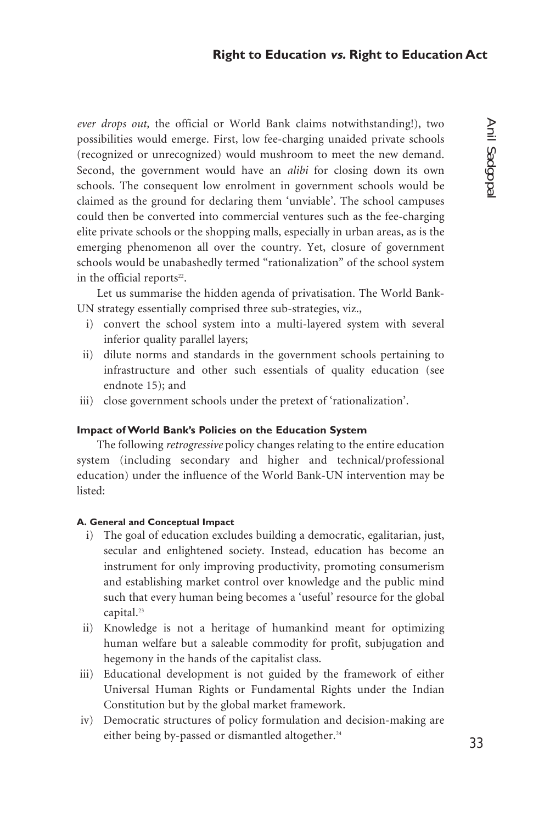*ever drops out,* the official or World Bank claims notwithstanding!), two possibilities would emerge. First, low fee-charging unaided private schools (recognized or unrecognized) would mushroom to meet the new demand. Second, the government would have an *alibi* for closing down its own schools. The consequent low enrolment in government schools would be claimed as the ground for declaring them 'unviable'. The school campuses could then be converted into commercial ventures such as the fee-charging elite private schools or the shopping malls, especially in urban areas, as is the emerging phenomenon all over the country. Yet, closure of government schools would be unabashedly termed "rationalization" of the school system in the official reports<sup>22</sup>.

Let us summarise the hidden agenda of privatisation. The World Bank-UN strategy essentially comprised three sub-strategies, viz.,

- i) convert the school system into a multi-layered system with several inferior quality parallel layers;
- ii) dilute norms and standards in the government schools pertaining to infrastructure and other such essentials of quality education (see endnote 15); and
- iii) close government schools under the pretext of 'rationalization'.

# **Impact of World Bank's Policies on the Education System**

The following *retrogressive* policy changes relating to the entire education system (including secondary and higher and technical/professional education) under the influence of the World Bank-UN intervention may be listed:

#### **A. General and Conceptual Impact**

- i) The goal of education excludes building a democratic, egalitarian, just, secular and enlightened society. Instead, education has become an instrument for only improving productivity, promoting consumerism and establishing market control over knowledge and the public mind such that every human being becomes a 'useful' resource for the global capital.<sup>23</sup>
- ii) Knowledge is not a heritage of humankind meant for optimizing human welfare but a saleable commodity for profit, subjugation and hegemony in the hands of the capitalist class.
- iii) Educational development is not guided by the framework of either Universal Human Rights or Fundamental Rights under the Indian Constitution but by the global market framework.
- iv) Democratic structures of policy formulation and decision-making are either being by-passed or dismantled altogether.<sup>24</sup>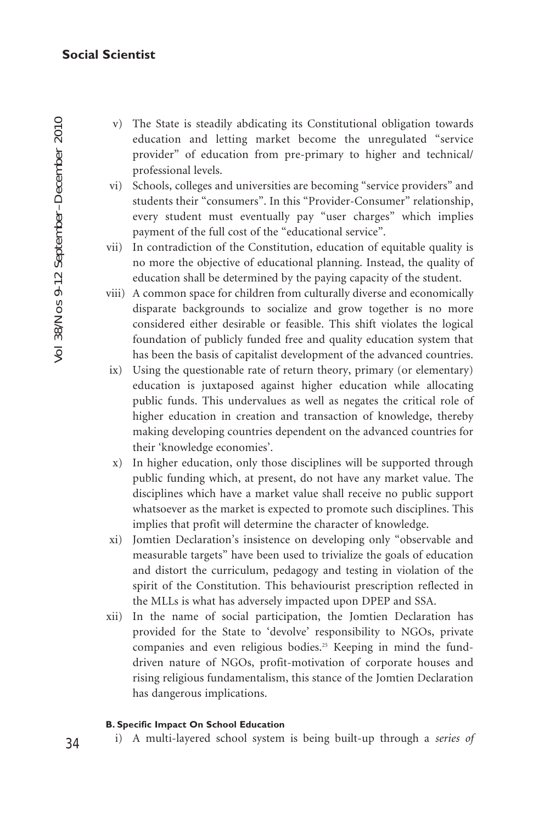- v) The State is steadily abdicating its Constitutional obligation towards education and letting market become the unregulated "service provider" of education from pre-primary to higher and technical/ professional levels.
- vi) Schools, colleges and universities are becoming "service providers" and students their "consumers". In this "Provider-Consumer" relationship, every student must eventually pay "user charges" which implies payment of the full cost of the "educational service".
- vii) In contradiction of the Constitution, education of equitable quality is no more the objective of educational planning. Instead, the quality of education shall be determined by the paying capacity of the student.
- viii) A common space for children from culturally diverse and economically disparate backgrounds to socialize and grow together is no more considered either desirable or feasible. This shift violates the logical foundation of publicly funded free and quality education system that has been the basis of capitalist development of the advanced countries.
- ix) Using the questionable rate of return theory, primary (or elementary) education is juxtaposed against higher education while allocating public funds. This undervalues as well as negates the critical role of higher education in creation and transaction of knowledge, thereby making developing countries dependent on the advanced countries for their 'knowledge economies'.
- x) In higher education, only those disciplines will be supported through public funding which, at present, do not have any market value. The disciplines which have a market value shall receive no public support whatsoever as the market is expected to promote such disciplines. This implies that profit will determine the character of knowledge.
- xi) Jomtien Declaration's insistence on developing only "observable and measurable targets" have been used to trivialize the goals of education and distort the curriculum, pedagogy and testing in violation of the spirit of the Constitution. This behaviourist prescription reflected in the MLLs is what has adversely impacted upon DPEP and SSA.
- xii) In the name of social participation, the Jomtien Declaration has provided for the State to 'devolve' responsibility to NGOs, private companies and even religious bodies.<sup>25</sup> Keeping in mind the funddriven nature of NGOs, profit-motivation of corporate houses and rising religious fundamentalism, this stance of the Jomtien Declaration has dangerous implications.

# **B. Specific Impact On School Education**

i) A multi-layered school system is being built-up through a *series of*

34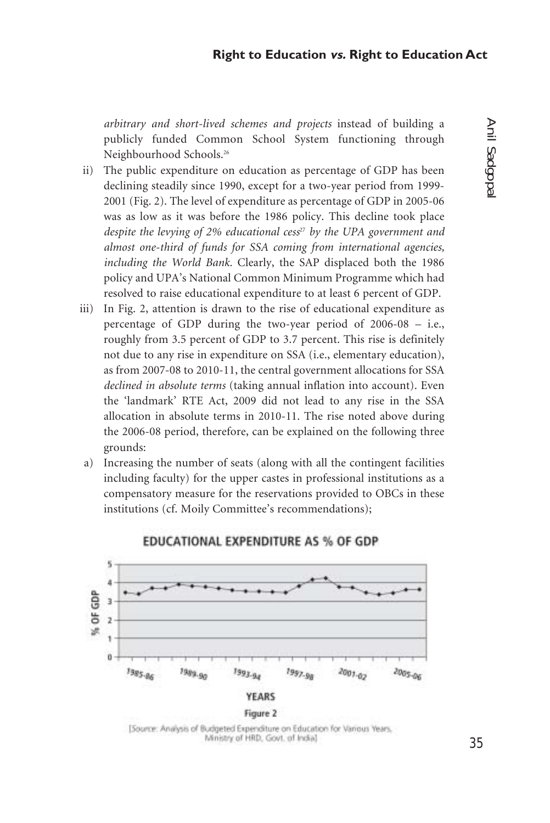*arbitrary and short-lived schemes and projects* instead of building a publicly funded Common School System functioning through Neighbourhood Schools.26

- ii) The public expenditure on education as percentage of GDP has been declining steadily since 1990, except for a two-year period from 1999- 2001 (Fig. 2). The level of expenditure as percentage of GDP in 2005-06 was as low as it was before the 1986 policy. This decline took place *despite the levying of 2% educational cess<sup>27</sup> by the UPA government and almost one-third of funds for SSA coming from international agencies, including the World Bank.* Clearly, the SAP displaced both the 1986 policy and UPA's National Common Minimum Programme which had resolved to raise educational expenditure to at least 6 percent of GDP.
- iii) In Fig. 2, attention is drawn to the rise of educational expenditure as percentage of GDP during the two-year period of 2006-08 – i.e., roughly from 3.5 percent of GDP to 3.7 percent. This rise is definitely not due to any rise in expenditure on SSA (i.e., elementary education), as from 2007-08 to 2010-11, the central government allocations for SSA *declined in absolute terms* (taking annual inflation into account). Even the 'landmark' RTE Act, 2009 did not lead to any rise in the SSA allocation in absolute terms in 2010-11. The rise noted above during the 2006-08 period, therefore, can be explained on the following three grounds:
- a) Increasing the number of seats (along with all the contingent facilities including faculty) for the upper castes in professional institutions as a compensatory measure for the reservations provided to OBCs in these institutions (cf. Moily Committee's recommendations);



# EDUCATIONAL EXPENDITURE AS % OF GDP

[Source: Analysis of Budgeted Expenditure on Education for Various Years, Ministry of HRD, Govt. of India]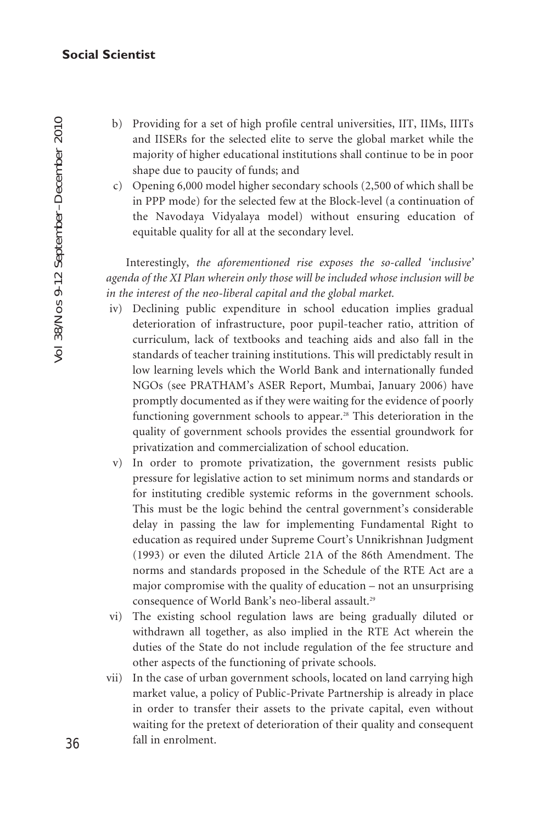- b) Providing for a set of high profile central universities, IIT, IIMs, IIITs and IISERs for the selected elite to serve the global market while the majority of higher educational institutions shall continue to be in poor shape due to paucity of funds; and
- c) Opening 6,000 model higher secondary schools (2,500 of which shall be in PPP mode) for the selected few at the Block-level (a continuation of the Navodaya Vidyalaya model) without ensuring education of equitable quality for all at the secondary level.

Interestingly, *the aforementioned rise exposes the so-called 'inclusive' agenda of the XI Plan wherein only those will be included whose inclusion will be in the interest of the neo-liberal capital and the global market.*

- iv) Declining public expenditure in school education implies gradual deterioration of infrastructure, poor pupil-teacher ratio, attrition of curriculum, lack of textbooks and teaching aids and also fall in the standards of teacher training institutions. This will predictably result in low learning levels which the World Bank and internationally funded NGOs (see PRATHAM's ASER Report, Mumbai, January 2006) have promptly documented as if they were waiting for the evidence of poorly functioning government schools to appear.<sup>28</sup> This deterioration in the quality of government schools provides the essential groundwork for privatization and commercialization of school education.
- v) In order to promote privatization, the government resists public pressure for legislative action to set minimum norms and standards or for instituting credible systemic reforms in the government schools. This must be the logic behind the central government's considerable delay in passing the law for implementing Fundamental Right to education as required under Supreme Court's Unnikrishnan Judgment (1993) or even the diluted Article 21A of the 86th Amendment. The norms and standards proposed in the Schedule of the RTE Act are a major compromise with the quality of education – not an unsurprising consequence of World Bank's neo-liberal assault.<sup>29</sup>
- vi) The existing school regulation laws are being gradually diluted or withdrawn all together, as also implied in the RTE Act wherein the duties of the State do not include regulation of the fee structure and other aspects of the functioning of private schools.
- vii) In the case of urban government schools, located on land carrying high market value, a policy of Public-Private Partnership is already in place in order to transfer their assets to the private capital, even without waiting for the pretext of deterioration of their quality and consequent fall in enrolment.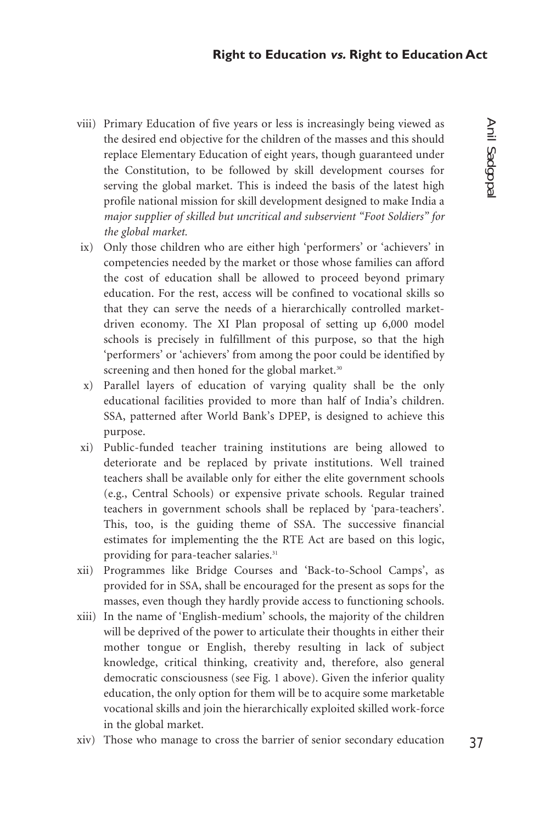- viii) Primary Education of five years or less is increasingly being viewed as the desired end objective for the children of the masses and this should replace Elementary Education of eight years, though guaranteed under the Constitution, to be followed by skill development courses for serving the global market. This is indeed the basis of the latest high profile national mission for skill development designed to make India a *major supplier of skilled but uncritical and subservient "Foot Soldiers" for the global market.*
- ix) Only those children who are either high 'performers' or 'achievers' in competencies needed by the market or those whose families can afford the cost of education shall be allowed to proceed beyond primary education. For the rest, access will be confined to vocational skills so that they can serve the needs of a hierarchically controlled marketdriven economy. The XI Plan proposal of setting up 6,000 model schools is precisely in fulfillment of this purpose, so that the high 'performers' or 'achievers' from among the poor could be identified by screening and then honed for the global market.<sup>30</sup>
- x) Parallel layers of education of varying quality shall be the only educational facilities provided to more than half of India's children. SSA, patterned after World Bank's DPEP, is designed to achieve this purpose.
- xi) Public-funded teacher training institutions are being allowed to deteriorate and be replaced by private institutions. Well trained teachers shall be available only for either the elite government schools (e.g., Central Schools) or expensive private schools. Regular trained teachers in government schools shall be replaced by 'para-teachers'. This, too, is the guiding theme of SSA. The successive financial estimates for implementing the the RTE Act are based on this logic, providing for para-teacher salaries.<sup>31</sup>
- xii) Programmes like Bridge Courses and 'Back-to-School Camps', as provided for in SSA, shall be encouraged for the present as sops for the masses, even though they hardly provide access to functioning schools.
- xiii) In the name of 'English-medium' schools, the majority of the children will be deprived of the power to articulate their thoughts in either their mother tongue or English, thereby resulting in lack of subject knowledge, critical thinking, creativity and, therefore, also general democratic consciousness (see Fig. 1 above). Given the inferior quality education, the only option for them will be to acquire some marketable vocational skills and join the hierarchically exploited skilled work-force in the global market.
- xiv) Those who manage to cross the barrier of senior secondary education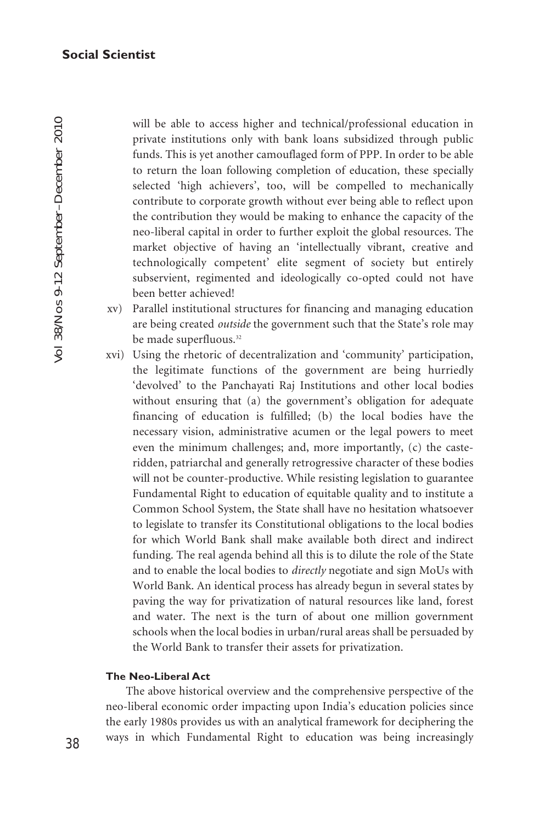will be able to access higher and technical/professional education in private institutions only with bank loans subsidized through public funds. This is yet another camouflaged form of PPP. In order to be able to return the loan following completion of education, these specially selected 'high achievers', too, will be compelled to mechanically contribute to corporate growth without ever being able to reflect upon the contribution they would be making to enhance the capacity of the neo-liberal capital in order to further exploit the global resources. The market objective of having an 'intellectually vibrant, creative and technologically competent' elite segment of society but entirely subservient, regimented and ideologically co-opted could not have been better achieved!

- xv) Parallel institutional structures for financing and managing education are being created *outside* the government such that the State's role may be made superfluous.<sup>32</sup>
- xvi) Using the rhetoric of decentralization and 'community' participation, the legitimate functions of the government are being hurriedly 'devolved' to the Panchayati Raj Institutions and other local bodies without ensuring that (a) the government's obligation for adequate financing of education is fulfilled; (b) the local bodies have the necessary vision, administrative acumen or the legal powers to meet even the minimum challenges; and, more importantly, (c) the casteridden, patriarchal and generally retrogressive character of these bodies will not be counter-productive. While resisting legislation to guarantee Fundamental Right to education of equitable quality and to institute a Common School System, the State shall have no hesitation whatsoever to legislate to transfer its Constitutional obligations to the local bodies for which World Bank shall make available both direct and indirect funding. The real agenda behind all this is to dilute the role of the State and to enable the local bodies to *directly* negotiate and sign MoUs with World Bank. An identical process has already begun in several states by paving the way for privatization of natural resources like land, forest and water. The next is the turn of about one million government schools when the local bodies in urban/rural areas shall be persuaded by the World Bank to transfer their assets for privatization.

# **The Neo-Liberal Act**

The above historical overview and the comprehensive perspective of the neo-liberal economic order impacting upon India's education policies since the early 1980s provides us with an analytical framework for deciphering the ways in which Fundamental Right to education was being increasingly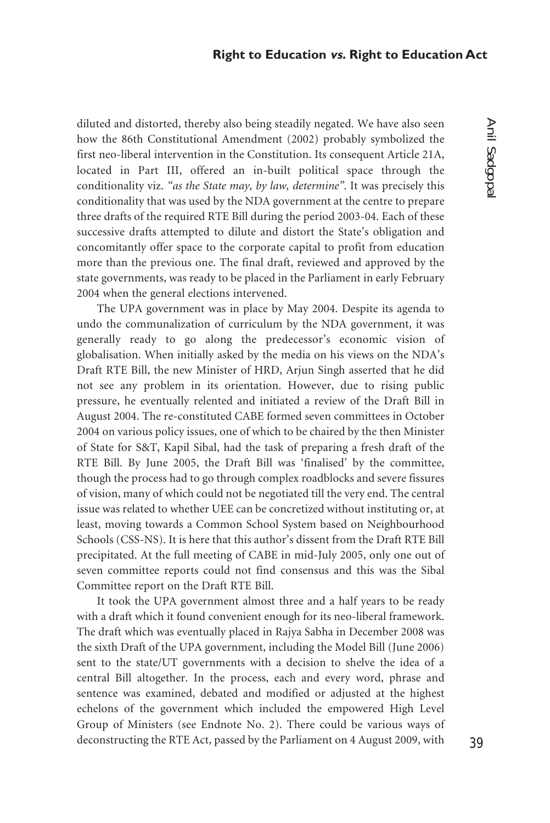diluted and distorted, thereby also being steadily negated. We have also seen how the 86th Constitutional Amendment (2002) probably symbolized the first neo-liberal intervention in the Constitution. Its consequent Article 21A, located in Part III, offered an in-built political space through the conditionality viz. *"as the State may, by law, determine"*. It was precisely this conditionality that was used by the NDA government at the centre to prepare three drafts of the required RTE Bill during the period 2003-04. Each of these successive drafts attempted to dilute and distort the State's obligation and concomitantly offer space to the corporate capital to profit from education more than the previous one. The final draft, reviewed and approved by the state governments, was ready to be placed in the Parliament in early February 2004 when the general elections intervened.

The UPA government was in place by May 2004. Despite its agenda to undo the communalization of curriculum by the NDA government, it was generally ready to go along the predecessor's economic vision of globalisation. When initially asked by the media on his views on the NDA's Draft RTE Bill, the new Minister of HRD, Arjun Singh asserted that he did not see any problem in its orientation. However, due to rising public pressure, he eventually relented and initiated a review of the Draft Bill in August 2004. The re-constituted CABE formed seven committees in October 2004 on various policy issues, one of which to be chaired by the then Minister of State for S&T, Kapil Sibal, had the task of preparing a fresh draft of the RTE Bill. By June 2005, the Draft Bill was 'finalised' by the committee, though the process had to go through complex roadblocks and severe fissures of vision, many of which could not be negotiated till the very end. The central issue was related to whether UEE can be concretized without instituting or, at least, moving towards a Common School System based on Neighbourhood Schools (CSS-NS). It is here that this author's dissent from the Draft RTE Bill precipitated. At the full meeting of CABE in mid-July 2005, only one out of seven committee reports could not find consensus and this was the Sibal Committee report on the Draft RTE Bill.

It took the UPA government almost three and a half years to be ready with a draft which it found convenient enough for its neo-liberal framework. The draft which was eventually placed in Rajya Sabha in December 2008 was the sixth Draft of the UPA government, including the Model Bill (June 2006) sent to the state/UT governments with a decision to shelve the idea of a central Bill altogether. In the process, each and every word, phrase and sentence was examined, debated and modified or adjusted at the highest echelons of the government which included the empowered High Level Group of Ministers (see Endnote No. 2). There could be various ways of deconstructing the RTE Act, passed by the Parliament on 4 August 2009, with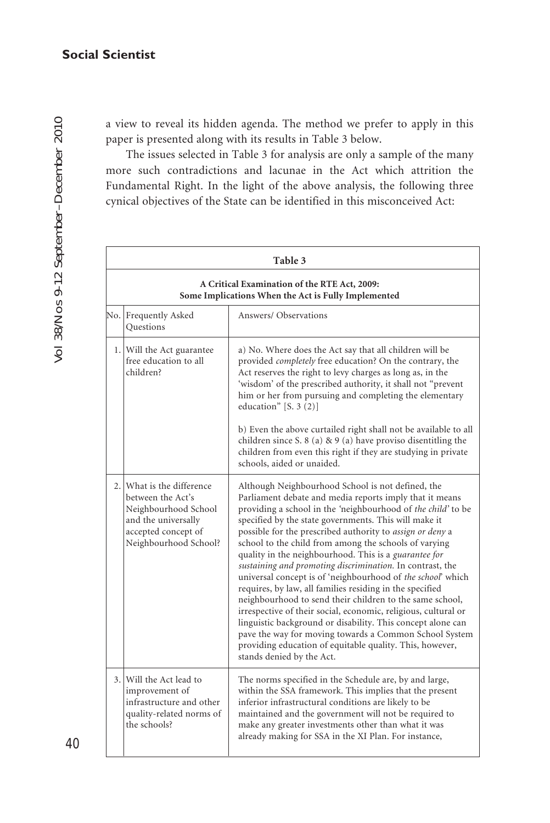a view to reveal its hidden agenda. The method we prefer to apply in this paper is presented along with its results in Table 3 below.

The issues selected in Table 3 for analysis are only a sample of the many more such contradictions and lacunae in the Act which attrition the Fundamental Right. In the light of the above analysis, the following three cynical objectives of the State can be identified in this misconceived Act:

|     | Table 3<br>A Critical Examination of the RTE Act, 2009:<br>Some Implications When the Act is Fully Implemented                                |                                                                                                                                                                                                                                                                                                                                                                                                                                                                                                                                                                                                                                                                                                                                                                                                                                                                                                                                                                            |  |
|-----|-----------------------------------------------------------------------------------------------------------------------------------------------|----------------------------------------------------------------------------------------------------------------------------------------------------------------------------------------------------------------------------------------------------------------------------------------------------------------------------------------------------------------------------------------------------------------------------------------------------------------------------------------------------------------------------------------------------------------------------------------------------------------------------------------------------------------------------------------------------------------------------------------------------------------------------------------------------------------------------------------------------------------------------------------------------------------------------------------------------------------------------|--|
|     |                                                                                                                                               |                                                                                                                                                                                                                                                                                                                                                                                                                                                                                                                                                                                                                                                                                                                                                                                                                                                                                                                                                                            |  |
| No. | Frequently Asked<br><b>Questions</b>                                                                                                          | Answers/Observations                                                                                                                                                                                                                                                                                                                                                                                                                                                                                                                                                                                                                                                                                                                                                                                                                                                                                                                                                       |  |
|     | 1. Will the Act guarantee<br>free education to all<br>children?                                                                               | a) No. Where does the Act say that all children will be<br>provided <i>completely</i> free education? On the contrary, the<br>Act reserves the right to levy charges as long as, in the<br>'wisdom' of the prescribed authority, it shall not "prevent<br>him or her from pursuing and completing the elementary<br>education" $[S. 3 (2)]$                                                                                                                                                                                                                                                                                                                                                                                                                                                                                                                                                                                                                                |  |
|     |                                                                                                                                               | b) Even the above curtailed right shall not be available to all<br>children since S. 8 (a) & 9 (a) have proviso disentitling the<br>children from even this right if they are studying in private<br>schools, aided or unaided.                                                                                                                                                                                                                                                                                                                                                                                                                                                                                                                                                                                                                                                                                                                                            |  |
|     | 2. What is the difference<br>between the Act's<br>Neighbourhood School<br>and the universally<br>accepted concept of<br>Neighbourhood School? | Although Neighbourhood School is not defined, the<br>Parliament debate and media reports imply that it means<br>providing a school in the 'neighbourhood of the child' to be<br>specified by the state governments. This will make it<br>possible for the prescribed authority to <i>assign or deny</i> a<br>school to the child from among the schools of varying<br>quality in the neighbourhood. This is a <i>guarantee for</i><br>sustaining and promoting discrimination. In contrast, the<br>universal concept is of 'neighbourhood of the school' which<br>requires, by law, all families residing in the specified<br>neighbourhood to send their children to the same school,<br>irrespective of their social, economic, religious, cultural or<br>linguistic background or disability. This concept alone can<br>pave the way for moving towards a Common School System<br>providing education of equitable quality. This, however,<br>stands denied by the Act. |  |
|     | 3. Will the Act lead to<br>improvement of<br>infrastructure and other<br>quality-related norms of<br>the schools?                             | The norms specified in the Schedule are, by and large,<br>within the SSA framework. This implies that the present<br>inferior infrastructural conditions are likely to be<br>maintained and the government will not be required to<br>make any greater investments other than what it was<br>already making for SSA in the XI Plan. For instance,                                                                                                                                                                                                                                                                                                                                                                                                                                                                                                                                                                                                                          |  |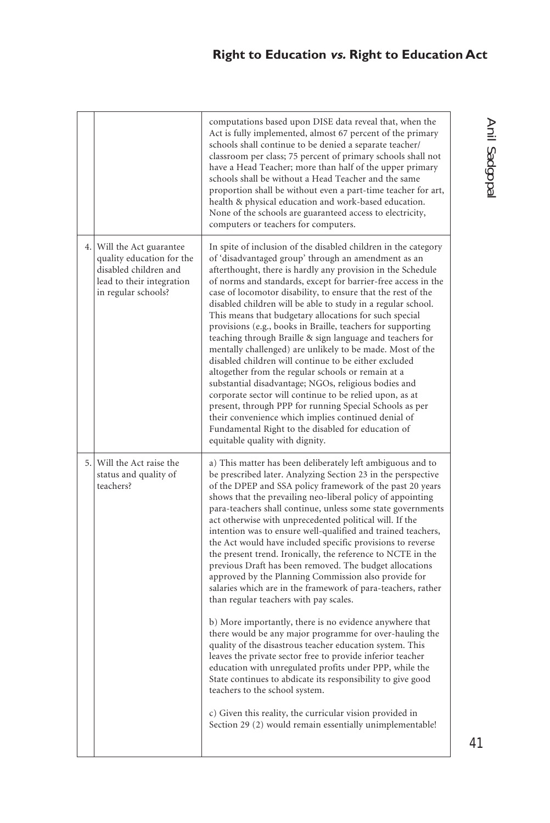# **Right to Education vs. Right to Education Act**

|                                                                                                                                     | computations based upon DISE data reveal that, when the<br>Act is fully implemented, almost 67 percent of the primary<br>schools shall continue to be denied a separate teacher/<br>classroom per class; 75 percent of primary schools shall not<br>have a Head Teacher; more than half of the upper primary<br>schools shall be without a Head Teacher and the same<br>proportion shall be without even a part-time teacher for art,<br>health & physical education and work-based education.<br>None of the schools are guaranteed access to electricity,<br>computers or teachers for computers.                                                                                                                                                                                                                                                                                                                                                                                                                                                                                                                                                                                                                                                                                                                                           |
|-------------------------------------------------------------------------------------------------------------------------------------|-----------------------------------------------------------------------------------------------------------------------------------------------------------------------------------------------------------------------------------------------------------------------------------------------------------------------------------------------------------------------------------------------------------------------------------------------------------------------------------------------------------------------------------------------------------------------------------------------------------------------------------------------------------------------------------------------------------------------------------------------------------------------------------------------------------------------------------------------------------------------------------------------------------------------------------------------------------------------------------------------------------------------------------------------------------------------------------------------------------------------------------------------------------------------------------------------------------------------------------------------------------------------------------------------------------------------------------------------|
| 4. Will the Act guarantee<br>quality education for the<br>disabled children and<br>lead to their integration<br>in regular schools? | In spite of inclusion of the disabled children in the category<br>of 'disadvantaged group' through an amendment as an<br>afterthought, there is hardly any provision in the Schedule<br>of norms and standards, except for barrier-free access in the<br>case of locomotor disability, to ensure that the rest of the<br>disabled children will be able to study in a regular school.<br>This means that budgetary allocations for such special<br>provisions (e.g., books in Braille, teachers for supporting<br>teaching through Braille & sign language and teachers for<br>mentally challenged) are unlikely to be made. Most of the<br>disabled children will continue to be either excluded<br>altogether from the regular schools or remain at a<br>substantial disadvantage; NGOs, religious bodies and<br>corporate sector will continue to be relied upon, as at<br>present, through PPP for running Special Schools as per<br>their convenience which implies continued denial of<br>Fundamental Right to the disabled for education of<br>equitable quality with dignity.                                                                                                                                                                                                                                                         |
| 5. Will the Act raise the<br>status and quality of<br>teachers?                                                                     | a) This matter has been deliberately left ambiguous and to<br>be prescribed later. Analyzing Section 23 in the perspective<br>of the DPEP and SSA policy framework of the past 20 years<br>shows that the prevailing neo-liberal policy of appointing<br>para-teachers shall continue, unless some state governments<br>act otherwise with unprecedented political will. If the<br>intention was to ensure well-qualified and trained teachers,<br>the Act would have included specific provisions to reverse<br>the present trend. Ironically, the reference to NCTE in the<br>previous Draft has been removed. The budget allocations<br>approved by the Planning Commission also provide for<br>salaries which are in the framework of para-teachers, rather<br>than regular teachers with pay scales.<br>b) More importantly, there is no evidence anywhere that<br>there would be any major programme for over-hauling the<br>quality of the disastrous teacher education system. This<br>leaves the private sector free to provide inferior teacher<br>education with unregulated profits under PPP, while the<br>State continues to abdicate its responsibility to give good<br>teachers to the school system.<br>c) Given this reality, the curricular vision provided in<br>Section 29 (2) would remain essentially unimplementable! |

# Anil Sadgopal Anil Sadgopal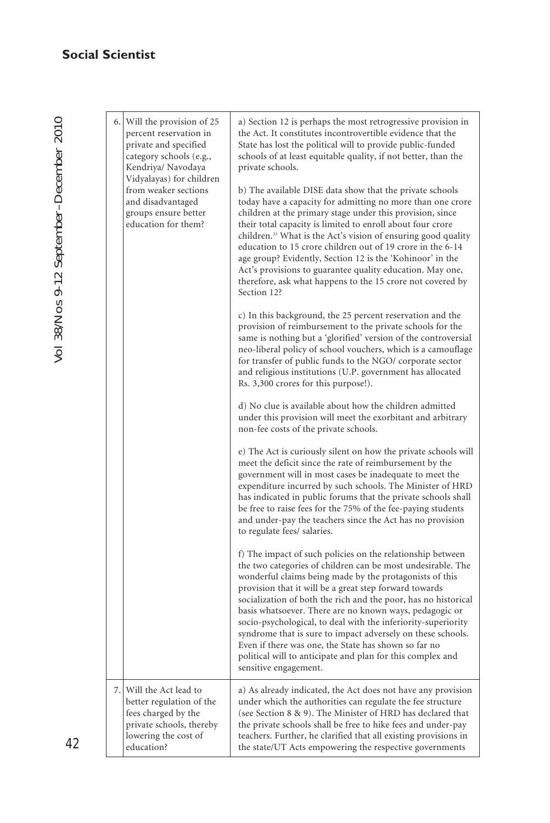| 6. Will the provision of 25<br>percent reservation in<br>private and specified<br>category schools (e.g.,<br>Kendriya/ Navodaya<br>Vidyalayas) for children<br>from weaker sections<br>and disadvantaged<br>groups ensure better<br>education for them? | a) Section 12 is perhaps the most retrogressive provision in<br>the Act. It constitutes incontrovertible evidence that the<br>State has lost the political will to provide public-funded<br>schools of at least equitable quality, if not better, than the<br>private schools.<br>b) The available DISE data show that the private schools<br>today have a capacity for admitting no more than one crore<br>children at the primary stage under this provision, since<br>their total capacity is limited to enroll about four crore                                                                                                                        |
|---------------------------------------------------------------------------------------------------------------------------------------------------------------------------------------------------------------------------------------------------------|------------------------------------------------------------------------------------------------------------------------------------------------------------------------------------------------------------------------------------------------------------------------------------------------------------------------------------------------------------------------------------------------------------------------------------------------------------------------------------------------------------------------------------------------------------------------------------------------------------------------------------------------------------|
|                                                                                                                                                                                                                                                         | children. <sup>33</sup> What is the Act's vision of ensuring good quality<br>education to 15 crore children out of 19 crore in the 6-14<br>age group? Evidently, Section 12 is the 'Kohinoor' in the<br>Act's provisions to guarantee quality education. May one,<br>therefore, ask what happens to the 15 crore not covered by<br>Section 12?                                                                                                                                                                                                                                                                                                             |
|                                                                                                                                                                                                                                                         | c) In this background, the 25 percent reservation and the<br>provision of reimbursement to the private schools for the<br>same is nothing but a 'glorified' version of the controversial<br>neo-liberal policy of school vouchers, which is a camouflage<br>for transfer of public funds to the NGO/ corporate sector<br>and religious institutions (U.P. government has allocated<br>Rs. 3,300 crores for this purpose!).                                                                                                                                                                                                                                 |
|                                                                                                                                                                                                                                                         | d) No clue is available about how the children admitted<br>under this provision will meet the exorbitant and arbitrary<br>non-fee costs of the private schools.                                                                                                                                                                                                                                                                                                                                                                                                                                                                                            |
|                                                                                                                                                                                                                                                         | e) The Act is curiously silent on how the private schools will<br>meet the deficit since the rate of reimbursement by the<br>government will in most cases be inadequate to meet the<br>expenditure incurred by such schools. The Minister of HRD<br>has indicated in public forums that the private schools shall<br>be free to raise fees for the 75% of the fee-paying students<br>and under-pay the teachers since the Act has no provision<br>to regulate fees/ salaries.                                                                                                                                                                             |
|                                                                                                                                                                                                                                                         | f) The impact of such policies on the relationship between<br>the two categories of children can be most undesirable. The<br>wonderful claims being made by the protagonists of this<br>provision that it will be a great step forward towards<br>socialization of both the rich and the poor, has no historical<br>basis whatsoever. There are no known ways, pedagogic or<br>socio-psychological, to deal with the inferiority-superiority<br>syndrome that is sure to impact adversely on these schools.<br>Even if there was one, the State has shown so far no<br>political will to anticipate and plan for this complex and<br>sensitive engagement. |
| 7. Will the Act lead to<br>better regulation of the<br>fees charged by the<br>private schools, thereby<br>lowering the cost of<br>education?                                                                                                            | a) As already indicated, the Act does not have any provision<br>under which the authorities can regulate the fee structure<br>(see Section 8 & 9). The Minister of HRD has declared that<br>the private schools shall be free to hike fees and under-pay<br>teachers. Further, he clarified that all existing provisions in<br>the state/UT Acts empowering the respective governments                                                                                                                                                                                                                                                                     |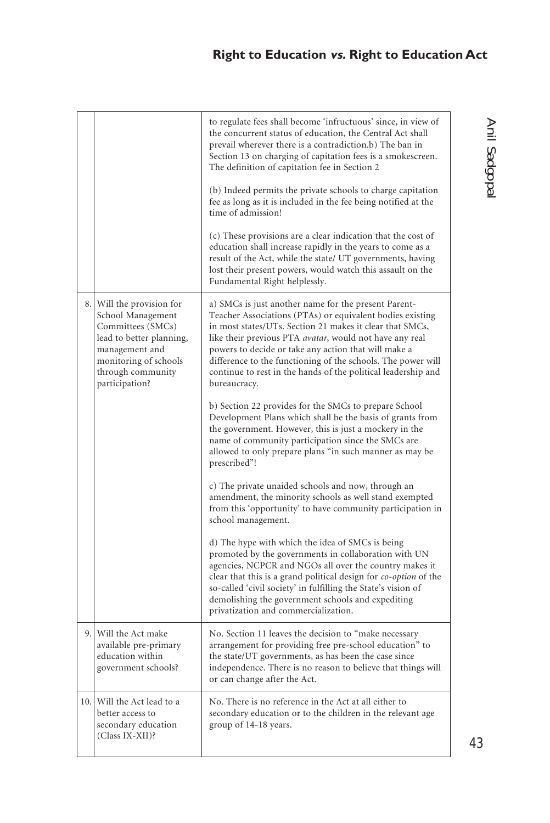# **Right to Education vs. Right to Education Act**

|                                                                                                                                                                                   | to regulate fees shall become 'infructuous' since, in view of<br>the concurrent status of education, the Central Act shall<br>prevail wherever there is a contradiction.b) The ban in<br>Section 13 on charging of capitation fees is a smokescreen.<br>The definition of capitation fee in Section 2<br>(b) Indeed permits the private schools to charge capitation<br>fee as long as it is included in the fee being notified at the<br>time of admission!<br>(c) These provisions are a clear indication that the cost of<br>education shall increase rapidly in the years to come as a<br>result of the Act, while the state/ UT governments, having |
|-----------------------------------------------------------------------------------------------------------------------------------------------------------------------------------|----------------------------------------------------------------------------------------------------------------------------------------------------------------------------------------------------------------------------------------------------------------------------------------------------------------------------------------------------------------------------------------------------------------------------------------------------------------------------------------------------------------------------------------------------------------------------------------------------------------------------------------------------------|
|                                                                                                                                                                                   | lost their present powers, would watch this assault on the<br>Fundamental Right helplessly.                                                                                                                                                                                                                                                                                                                                                                                                                                                                                                                                                              |
| 8. Will the provision for<br>School Management<br>Committees (SMCs)<br>lead to better planning,<br>management and<br>monitoring of schools<br>through community<br>participation? | a) SMCs is just another name for the present Parent-<br>Teacher Associations (PTAs) or equivalent bodies existing<br>in most states/UTs. Section 21 makes it clear that SMCs,<br>like their previous PTA avatar, would not have any real<br>powers to decide or take any action that will make a<br>difference to the functioning of the schools. The power will<br>continue to rest in the hands of the political leadership and<br>bureaucracy.                                                                                                                                                                                                        |
|                                                                                                                                                                                   | b) Section 22 provides for the SMCs to prepare School<br>Development Plans which shall be the basis of grants from<br>the government. However, this is just a mockery in the<br>name of community participation since the SMCs are<br>allowed to only prepare plans "in such manner as may be<br>prescribed"!                                                                                                                                                                                                                                                                                                                                            |
|                                                                                                                                                                                   | c) The private unaided schools and now, through an<br>amendment, the minority schools as well stand exempted<br>from this 'opportunity' to have community participation in<br>school management.                                                                                                                                                                                                                                                                                                                                                                                                                                                         |
|                                                                                                                                                                                   | d) The hype with which the idea of SMCs is being<br>promoted by the governments in collaboration with UN<br>agencies, NCPCR and NGOs all over the country makes it<br>clear that this is a grand political design for co-option of the<br>so-called 'civil society' in fulfilling the State's vision of<br>demolishing the government schools and expediting<br>privatization and commercialization.                                                                                                                                                                                                                                                     |
| 9. Will the Act make<br>available pre-primary<br>education within<br>government schools?                                                                                          | No. Section 11 leaves the decision to "make necessary<br>arrangement for providing free pre-school education" to<br>the state/UT governments, as has been the case since<br>independence. There is no reason to believe that things will<br>or can change after the Act.                                                                                                                                                                                                                                                                                                                                                                                 |
| 10. Will the Act lead to a<br>better access to<br>secondary education<br>(Class IX-XII)?                                                                                          | No. There is no reference in the Act at all either to<br>secondary education or to the children in the relevant age<br>group of 14-18 years.                                                                                                                                                                                                                                                                                                                                                                                                                                                                                                             |

# Anil Sadgopal Anil Sadgopal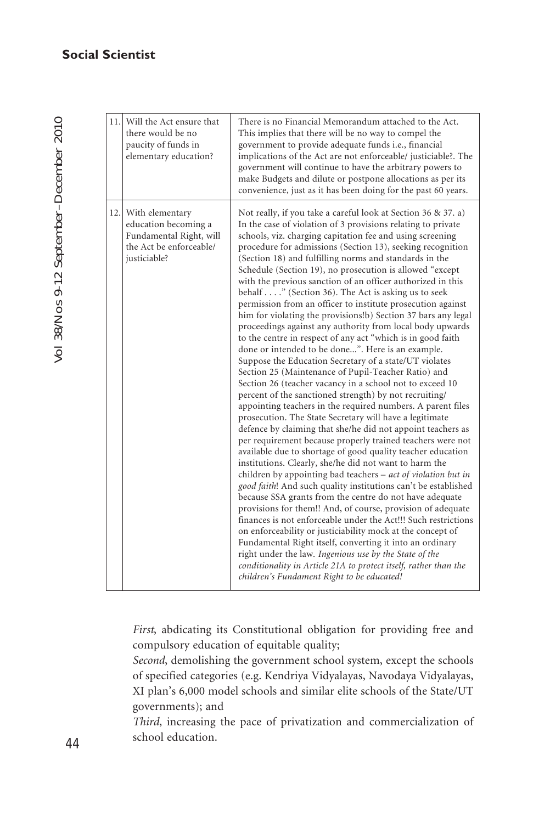Vol 38/Nos 9-12 September–December 2010 Vol 38/Nos 9-12 September-December 2010

| 11.1 | Will the Act ensure that<br>there would be no<br>paucity of funds in<br>elementary education?                     | There is no Financial Memorandum attached to the Act.<br>This implies that there will be no way to compel the<br>government to provide adequate funds i.e., financial<br>implications of the Act are not enforceable/ justiciable?. The<br>government will continue to have the arbitrary powers to<br>make Budgets and dilute or postpone allocations as per its<br>convenience, just as it has been doing for the past 60 years.                                                                                                                                                                                                                                                                                                                                                                                                                                                                                                                                                                                                                                                                                                                                                                                                                                                                                                                                                                                                                                                                                                                                                                                                                                                                                                                                                                                                                                                                                                                                                                                                                                                         |
|------|-------------------------------------------------------------------------------------------------------------------|--------------------------------------------------------------------------------------------------------------------------------------------------------------------------------------------------------------------------------------------------------------------------------------------------------------------------------------------------------------------------------------------------------------------------------------------------------------------------------------------------------------------------------------------------------------------------------------------------------------------------------------------------------------------------------------------------------------------------------------------------------------------------------------------------------------------------------------------------------------------------------------------------------------------------------------------------------------------------------------------------------------------------------------------------------------------------------------------------------------------------------------------------------------------------------------------------------------------------------------------------------------------------------------------------------------------------------------------------------------------------------------------------------------------------------------------------------------------------------------------------------------------------------------------------------------------------------------------------------------------------------------------------------------------------------------------------------------------------------------------------------------------------------------------------------------------------------------------------------------------------------------------------------------------------------------------------------------------------------------------------------------------------------------------------------------------------------------------|
|      | 12. With elementary<br>education becoming a<br>Fundamental Right, will<br>the Act be enforceable/<br>justiciable? | Not really, if you take a careful look at Section 36 & 37. a)<br>In the case of violation of 3 provisions relating to private<br>schools, viz. charging capitation fee and using screening<br>procedure for admissions (Section 13), seeking recognition<br>(Section 18) and fulfilling norms and standards in the<br>Schedule (Section 19), no prosecution is allowed "except<br>with the previous sanction of an officer authorized in this<br>behalf " (Section 36). The Act is asking us to seek<br>permission from an officer to institute prosecution against<br>him for violating the provisions!b) Section 37 bars any legal<br>proceedings against any authority from local body upwards<br>to the centre in respect of any act "which is in good faith<br>done or intended to be done". Here is an example.<br>Suppose the Education Secretary of a state/UT violates<br>Section 25 (Maintenance of Pupil-Teacher Ratio) and<br>Section 26 (teacher vacancy in a school not to exceed 10<br>percent of the sanctioned strength) by not recruiting/<br>appointing teachers in the required numbers. A parent files<br>prosecution. The State Secretary will have a legitimate<br>defence by claiming that she/he did not appoint teachers as<br>per requirement because properly trained teachers were not<br>available due to shortage of good quality teacher education<br>institutions. Clearly, she/he did not want to harm the<br>children by appointing bad teachers $-$ <i>act of violation but in</i><br>good faith! And such quality institutions can't be established<br>because SSA grants from the centre do not have adequate<br>provisions for them!! And, of course, provision of adequate<br>finances is not enforceable under the Act!!! Such restrictions<br>on enforceability or justiciability mock at the concept of<br>Fundamental Right itself, converting it into an ordinary<br>right under the law. Ingenious use by the State of the<br>conditionality in Article 21A to protect itself, rather than the<br>children's Fundament Right to be educated! |

*First*, abdicating its Constitutional obligation for providing free and compulsory education of equitable quality;

*Second*, demolishing the government school system, except the schools of specified categories (e.g. Kendriya Vidyalayas, Navodaya Vidyalayas, XI plan's 6,000 model schools and similar elite schools of the State/UT governments); and

*Third*, increasing the pace of privatization and commercialization of school education.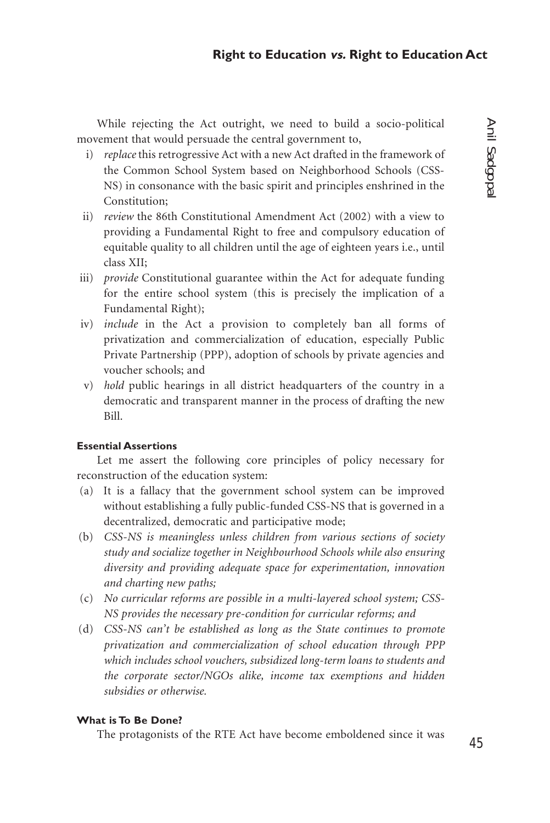While rejecting the Act outright, we need to build a socio-political movement that would persuade the central government to,

- i) *replace* this retrogressive Act with a new Act drafted in the framework of the Common School System based on Neighborhood Schools (CSS-NS) in consonance with the basic spirit and principles enshrined in the Constitution;
- ii) *review* the 86th Constitutional Amendment Act (2002) with a view to providing a Fundamental Right to free and compulsory education of equitable quality to all children until the age of eighteen years i.e., until class XII;
- iii) *provide* Constitutional guarantee within the Act for adequate funding for the entire school system (this is precisely the implication of a Fundamental Right);
- iv) *include* in the Act a provision to completely ban all forms of privatization and commercialization of education, especially Public Private Partnership (PPP), adoption of schools by private agencies and voucher schools; and
- v) *hold* public hearings in all district headquarters of the country in a democratic and transparent manner in the process of drafting the new Bill.

# **Essential Assertions**

Let me assert the following core principles of policy necessary for reconstruction of the education system:

- (a) It is a fallacy that the government school system can be improved without establishing a fully public-funded CSS-NS that is governed in a decentralized, democratic and participative mode;
- (b) *CSS-NS is meaningless unless children from various sections of society study and socialize together in Neighbourhood Schools while also ensuring diversity and providing adequate space for experimentation, innovation and charting new paths;*
- (c) *No curricular reforms are possible in a multi-layered school system; CSS-NS provides the necessary pre-condition for curricular reforms; and*
- (d) *CSS-NS can't be established as long as the State continues to promote privatization and commercialization of school education through PPP which includes school vouchers, subsidized long-term loans to students and the corporate sector/NGOs alike, income tax exemptions and hidden subsidies or otherwise.*

# **What is To Be Done?**

The protagonists of the RTE Act have become emboldened since it was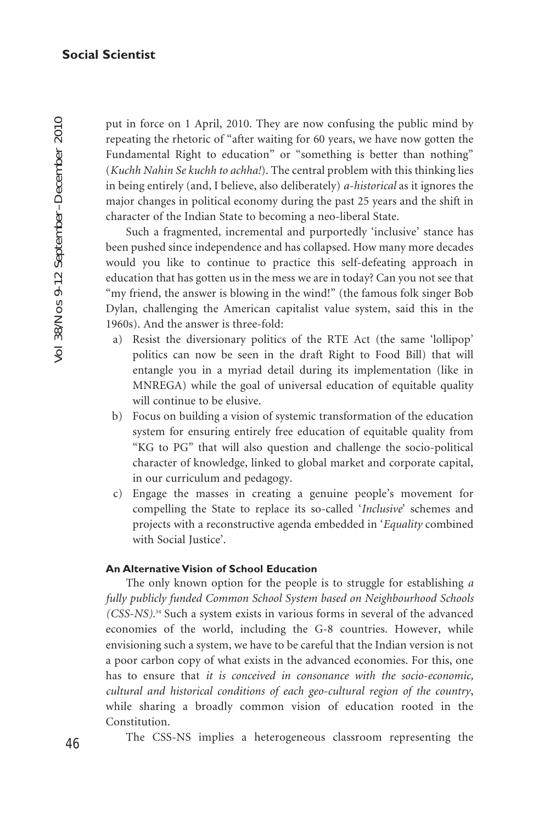put in force on 1 April, 2010. They are now confusing the public mind by repeating the rhetoric of "after waiting for 60 years, we have now gotten the Fundamental Right to education" or "something is better than nothing" (*Kuchh Nahin Se kuchh to achha!*). The central problem with this thinking lies in being entirely (and, I believe, also deliberately) *a-historical* as it ignores the major changes in political economy during the past 25 years and the shift in character of the Indian State to becoming a neo-liberal State.

Such a fragmented, incremental and purportedly 'inclusive' stance has been pushed since independence and has collapsed. How many more decades would you like to continue to practice this self-defeating approach in education that has gotten us in the mess we are in today? Can you not see that "my friend, the answer is blowing in the wind!" (the famous folk singer Bob Dylan, challenging the American capitalist value system, said this in the 1960s). And the answer is three-fold:

- a) Resist the diversionary politics of the RTE Act (the same 'lollipop' politics can now be seen in the draft Right to Food Bill) that will entangle you in a myriad detail during its implementation (like in MNREGA) while the goal of universal education of equitable quality will continue to be elusive.
- b) Focus on building a vision of systemic transformation of the education system for ensuring entirely free education of equitable quality from "KG to PG" that will also question and challenge the socio-political character of knowledge, linked to global market and corporate capital, in our curriculum and pedagogy.
- c) Engage the masses in creating a genuine people's movement for compelling the State to replace its so-called '*Inclusive*' schemes and projects with a reconstructive agenda embedded in '*Equality* combined with Social Justice'.

# **An Alternative Vision of School Education**

The only known option for the people is to struggle for establishing *a fully publicly funded Common School System based on Neighbourhood Schools (CSS-NS).*<sup>34</sup> Such a system exists in various forms in several of the advanced economies of the world, including the G-8 countries. However, while envisioning such a system, we have to be careful that the Indian version is not a poor carbon copy of what exists in the advanced economies. For this, one has to ensure that *it is conceived in consonance with the socio-economic, cultural and historical conditions of each geo-cultural region of the country*, while sharing a broadly common vision of education rooted in the Constitution.

The CSS-NS implies a heterogeneous classroom representing the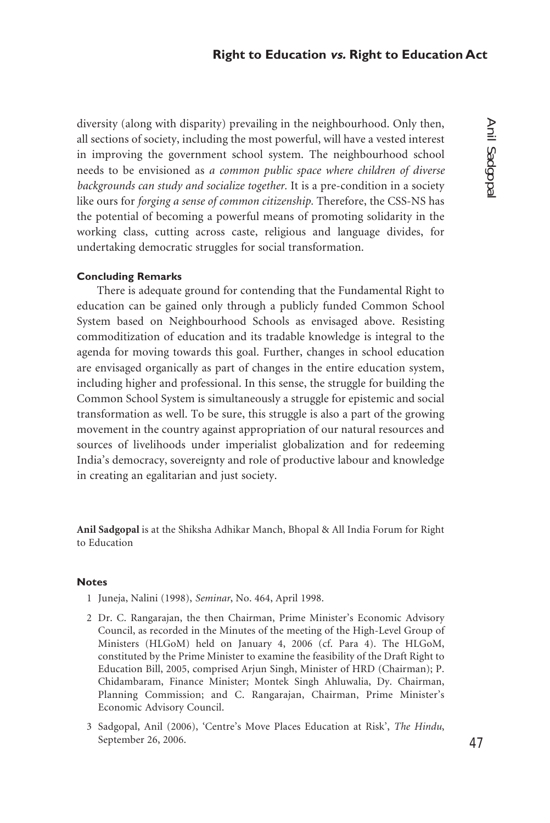diversity (along with disparity) prevailing in the neighbourhood. Only then, all sections of society, including the most powerful, will have a vested interest in improving the government school system. The neighbourhood school needs to be envisioned as *a common public space where children of diverse backgrounds can study and socialize together.* It is a pre-condition in a society like ours for *forging a sense of common citizenship.* Therefore, the CSS-NS has the potential of becoming a powerful means of promoting solidarity in the working class, cutting across caste, religious and language divides, for undertaking democratic struggles for social transformation.

#### **Concluding Remarks**

There is adequate ground for contending that the Fundamental Right to education can be gained only through a publicly funded Common School System based on Neighbourhood Schools as envisaged above. Resisting commoditization of education and its tradable knowledge is integral to the agenda for moving towards this goal. Further, changes in school education are envisaged organically as part of changes in the entire education system, including higher and professional. In this sense, the struggle for building the Common School System is simultaneously a struggle for epistemic and social transformation as well. To be sure, this struggle is also a part of the growing movement in the country against appropriation of our natural resources and sources of livelihoods under imperialist globalization and for redeeming India's democracy, sovereignty and role of productive labour and knowledge in creating an egalitarian and just society.

**Anil Sadgopal** is at the Shiksha Adhikar Manch, Bhopal & All India Forum for Right to Education

#### **Notes**

- 1 Juneja, Nalini (1998), *Seminar*, No. 464, April 1998.
- 2 Dr. C. Rangarajan, the then Chairman, Prime Minister's Economic Advisory Council, as recorded in the Minutes of the meeting of the High-Level Group of Ministers (HLGoM) held on January 4, 2006 (cf. Para 4). The HLGoM, constituted by the Prime Minister to examine the feasibility of the Draft Right to Education Bill, 2005, comprised Arjun Singh, Minister of HRD (Chairman); P. Chidambaram, Finance Minister; Montek Singh Ahluwalia, Dy. Chairman, Planning Commission; and C. Rangarajan, Chairman, Prime Minister's Economic Advisory Council.
- 3 Sadgopal, Anil (2006), 'Centre's Move Places Education at Risk', *The Hindu*, September 26, 2006.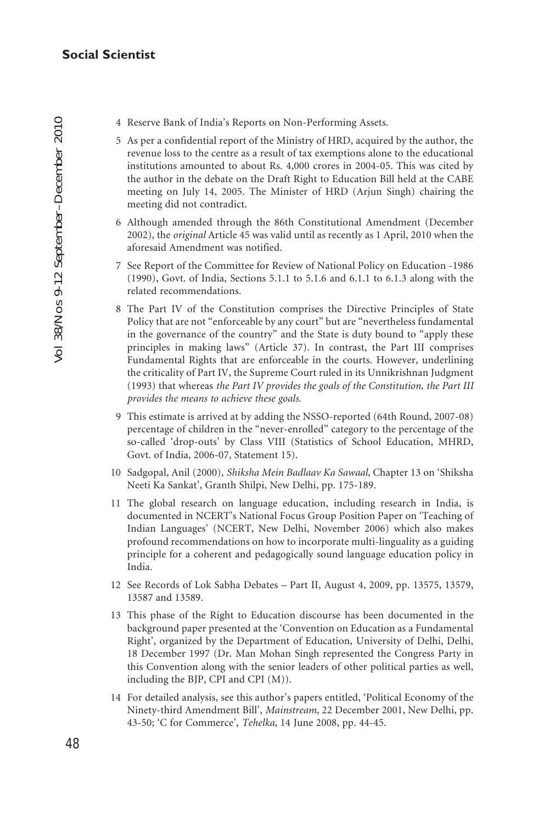- 4 Reserve Bank of India's Reports on Non-Performing Assets.
- 5 As per a confidential report of the Ministry of HRD, acquired by the author, the revenue loss to the centre as a result of tax exemptions alone to the educational institutions amounted to about Rs. 4,000 crores in 2004-05. This was cited by the author in the debate on the Draft Right to Education Bill held at the CABE meeting on July 14, 2005. The Minister of HRD (Arjun Singh) chairing the meeting did not contradict.
- 6 Although amended through the 86th Constitutional Amendment (December 2002), the *original* Article 45 was valid until as recently as 1 April, 2010 when the aforesaid Amendment was notified.
- 7 See Report of the Committee for Review of National Policy on Education -1986 (1990), Govt. of India, Sections 5.1.1 to 5.1.6 and 6.1.1 to 6.1.3 along with the related recommendations.
- 8 The Part IV of the Constitution comprises the Directive Principles of State Policy that are not "enforceable by any court" but are "nevertheless fundamental in the governance of the country" and the State is duty bound to "apply these principles in making laws" (Article 37). In contrast, the Part III comprises Fundamental Rights that are enforceable in the courts. However, underlining the criticality of Part IV, the Supreme Court ruled in its Unnikrishnan Judgment (1993) that whereas *the Part IV provides the goals of the Constitution, the Part III provides the means to achieve these goals.*
- 9 This estimate is arrived at by adding the NSSO-reported (64th Round, 2007-08) percentage of children in the "never-enrolled" category to the percentage of the so-called 'drop-outs' by Class VIII (Statistics of School Education, MHRD, Govt. of India, 2006-07, Statement 15).
- 10 Sadgopal, Anil (2000), *Shiksha Mein Badlaav Ka Sawaal*, Chapter 13 on 'Shiksha Neeti Ka Sankat', Granth Shilpi, New Delhi, pp. 175-189.
- 11 The global research on language education, including research in India, is documented in NCERT's National Focus Group Position Paper on 'Teaching of Indian Languages' (NCERT, New Delhi, November 2006) which also makes profound recommendations on how to incorporate multi-linguality as a guiding principle for a coherent and pedagogically sound language education policy in India.
- 12 See Records of Lok Sabha Debates Part II, August 4, 2009, pp. 13575, 13579, 13587 and 13589.
- 13 This phase of the Right to Education discourse has been documented in the background paper presented at the 'Convention on Education as a Fundamental Right', organized by the Department of Education, University of Delhi, Delhi, 18 December 1997 (Dr. Man Mohan Singh represented the Congress Party in this Convention along with the senior leaders of other political parties as well, including the BJP, CPI and CPI (M)).
- 14 For detailed analysis, see this author's papers entitled, 'Political Economy of the Ninety-third Amendment Bill', *Mainstream*, 22 December 2001, New Delhi, pp. 43-50; 'C for Commerce', *Tehelka*, 14 June 2008, pp. 44-45.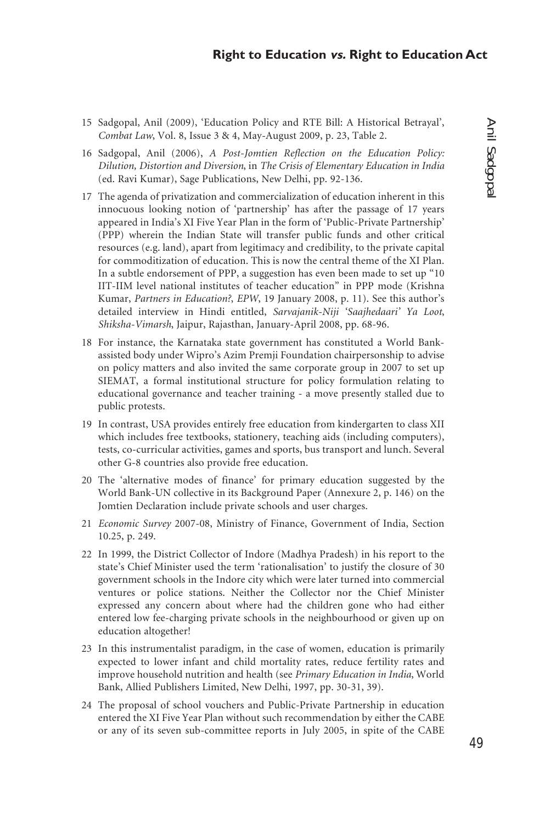- 15 Sadgopal, Anil (2009), 'Education Policy and RTE Bill: A Historical Betrayal', *Combat Law*, Vol. 8, Issue 3 & 4, May-August 2009, p. 23, Table 2.
- 16 Sadgopal, Anil (2006), *A Post-Jomtien Reflection on the Education Policy: Dilution, Distortion and Diversion*, in *The Crisis of Elementary Education in India* (ed. Ravi Kumar), Sage Publications, New Delhi, pp. 92-136.
- 17 The agenda of privatization and commercialization of education inherent in this innocuous looking notion of 'partnership' has after the passage of 17 years appeared in India's XI Five Year Plan in the form of 'Public-Private Partnership' (PPP) wherein the Indian State will transfer public funds and other critical resources (e.g. land), apart from legitimacy and credibility, to the private capital for commoditization of education. This is now the central theme of the XI Plan. In a subtle endorsement of PPP, a suggestion has even been made to set up "10 IIT-IIM level national institutes of teacher education" in PPP mode (Krishna Kumar, *Partners in Education?*, *EPW*, 19 January 2008, p. 11). See this author's detailed interview in Hindi entitled, *Sarvajanik-Niji 'Saajhedaari' Ya Loot*, *Shiksha-Vimarsh*, Jaipur, Rajasthan, January-April 2008, pp. 68-96.
- 18 For instance, the Karnataka state government has constituted a World Bankassisted body under Wipro's Azim Premji Foundation chairpersonship to advise on policy matters and also invited the same corporate group in 2007 to set up SIEMAT, a formal institutional structure for policy formulation relating to educational governance and teacher training - a move presently stalled due to public protests.
- 19 In contrast, USA provides entirely free education from kindergarten to class XII which includes free textbooks, stationery, teaching aids (including computers), tests, co-curricular activities, games and sports, bus transport and lunch. Several other G-8 countries also provide free education.
- 20 The 'alternative modes of finance' for primary education suggested by the World Bank-UN collective in its Background Paper (Annexure 2, p. 146) on the Jomtien Declaration include private schools and user charges.
- 21 *Economic Survey* 2007-08, Ministry of Finance, Government of India, Section 10.25, p. 249.
- 22 In 1999, the District Collector of Indore (Madhya Pradesh) in his report to the state's Chief Minister used the term 'rationalisation' to justify the closure of 30 government schools in the Indore city which were later turned into commercial ventures or police stations. Neither the Collector nor the Chief Minister expressed any concern about where had the children gone who had either entered low fee-charging private schools in the neighbourhood or given up on education altogether!
- 23 In this instrumentalist paradigm, in the case of women, education is primarily expected to lower infant and child mortality rates, reduce fertility rates and improve household nutrition and health (see *Primary Education in India*, World Bank, Allied Publishers Limited, New Delhi, 1997, pp. 30-31, 39).
- 24 The proposal of school vouchers and Public-Private Partnership in education entered the XI Five Year Plan without such recommendation by either the CABE or any of its seven sub-committee reports in July 2005, in spite of the CABE